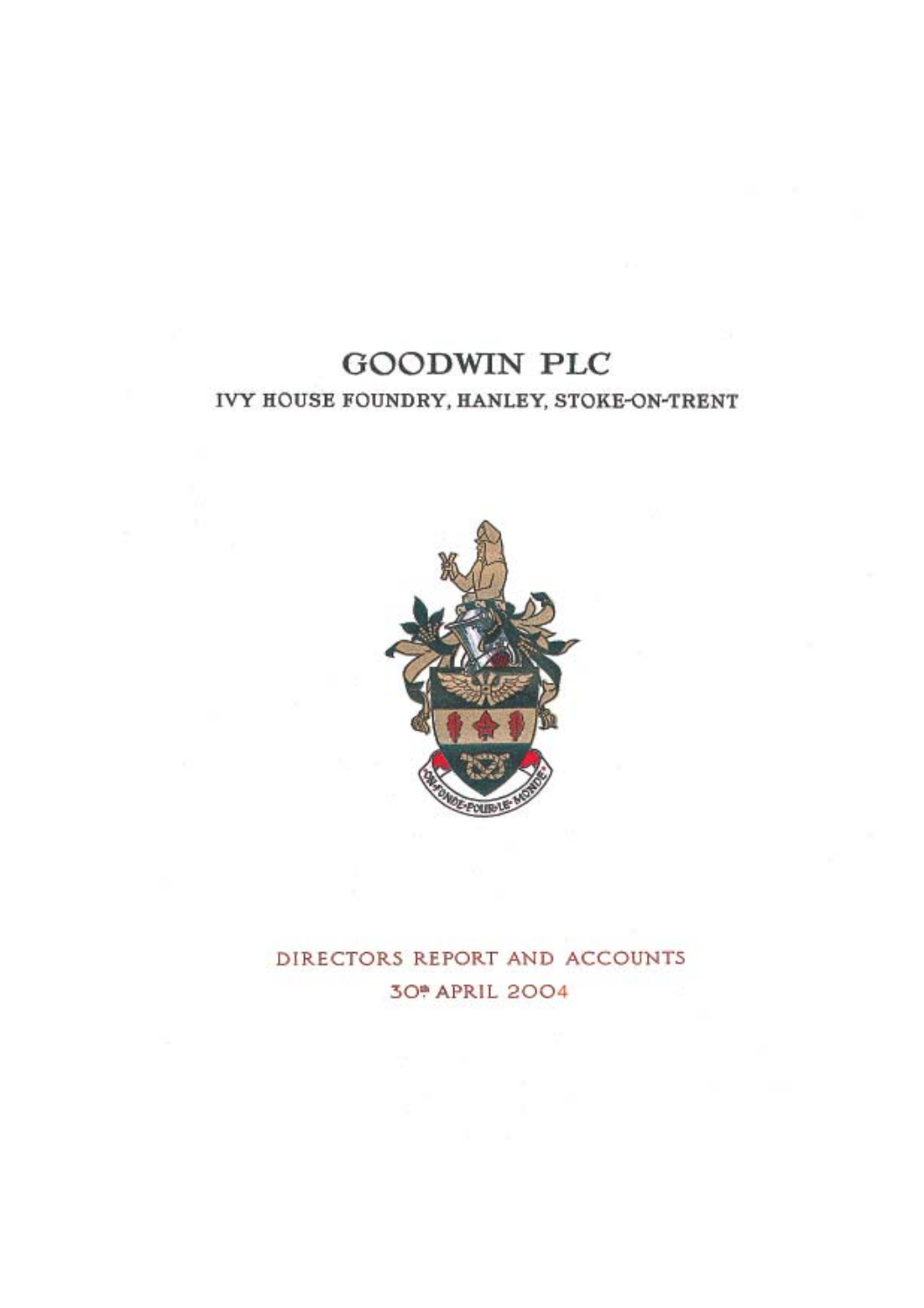# **GOODWIN PLC** IVY HOUSE FOUNDRY, HANLEY, STOKE-ON-TRENT



DIRECTORS REPORT AND ACCOUNTS 30<sup>\*</sup> APRIL 2004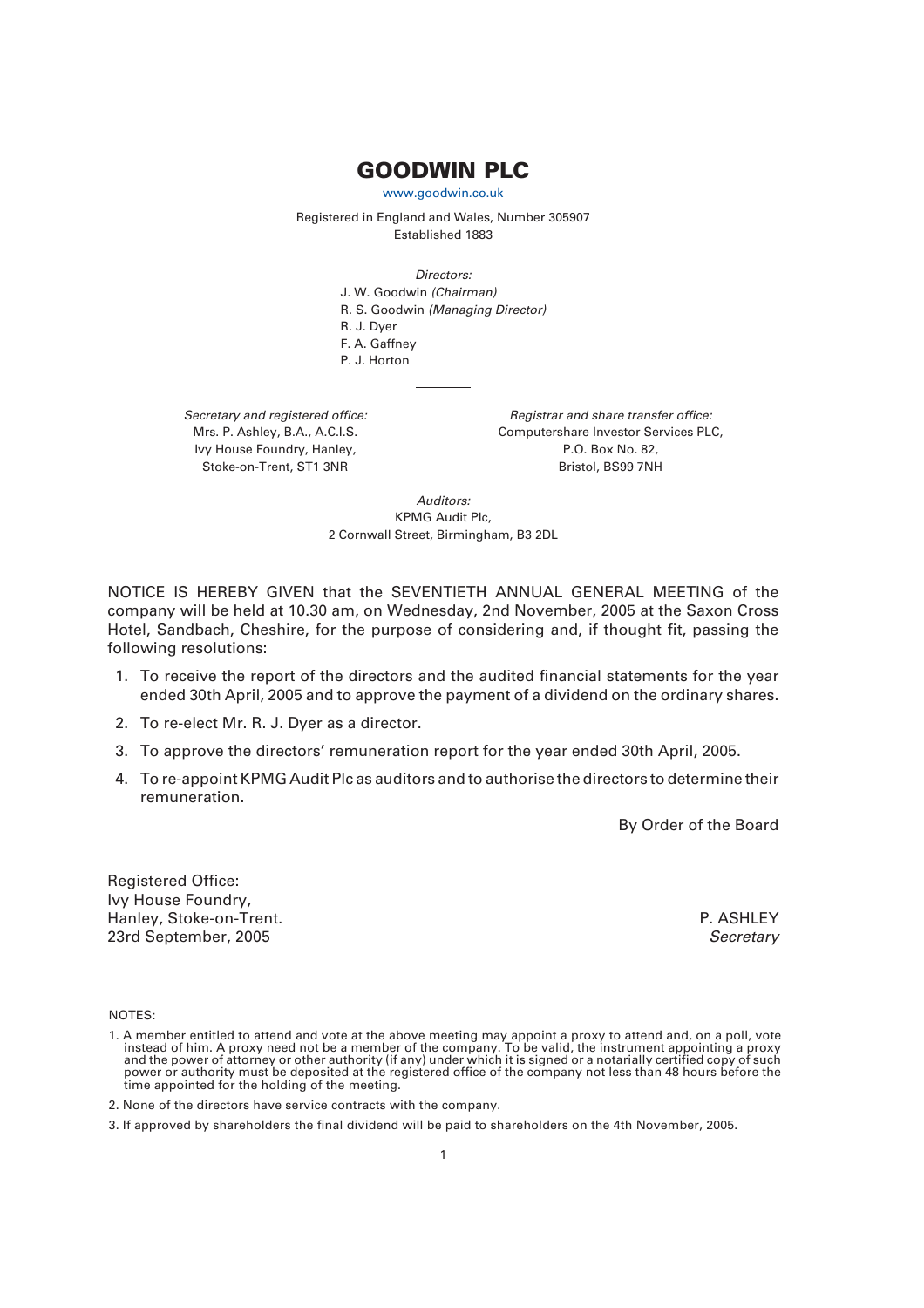www.goodwin.co.uk

Registered in England and Wales, Number 305907 Established 1883

Directors:

J. W. Goodwin (Chairman)

R. S. Goodwin (Managing Director)

R. J. Dyer

F. A. Gaffney

P. J. Horton

Ivy House Foundry, Hanley,  $P.O. Box No. 82$ , Stoke-on-Trent, ST1 3NR Bristol, BS99 7NH

Secretary and registered office:  $\qquad \qquad$  Registrar and share transfer office: Mrs. P. Ashley, B.A., A.C.I.S. Computershare Investor Services PLC,

> Auditors: KPMG Audit Plc, 2 Cornwall Street, Birmingham, B3 2DL

NOTICE IS HEREBY GIVEN that the SEVENTIETH ANNUAL GENERAL MEETING of the company will be held at 10.30 am, on Wednesday, 2nd November, 2005 at the Saxon Cross Hotel, Sandbach, Cheshire, for the purpose of considering and, if thought fit, passing the following resolutions:

- 1. To receive the report of the directors and the audited financial statements for the year ended 30th April, 2005 and to approve the payment of a dividend on the ordinary shares.
- 2. To re-elect Mr. R. J. Dyer as a director.
- 3. To approve the directors' remuneration report for the year ended 30th April, 2005.
- 4. To re-appoint KPMG Audit Plc as auditors and to authorise the directors to determine their remuneration.

By Order of the Board

Registered Office: Ivy House Foundry, Hanley, Stoke-on-Trent. 23rd September, 2005

P. ASHLEY **Secretary** 

NOTES:

- 2. None of the directors have service contracts with the company.
- 3. If approved by shareholders the final dividend will be paid to shareholders on the 4th November, 2005.

<sup>1.</sup> A member entitled to attend and vote at the above meeting may appoint a proxy to attend and, on a poll, vote instead of him. A proxy need not be a member of the company. To be valid, the instrument appointing a proxy and the power of attorney or other authority (if any) under which it is signed or a notarially certified copy of such power or authority must be deposited at the registered office of the company not less than 48 hours before the time appointed for the holding of the meeting.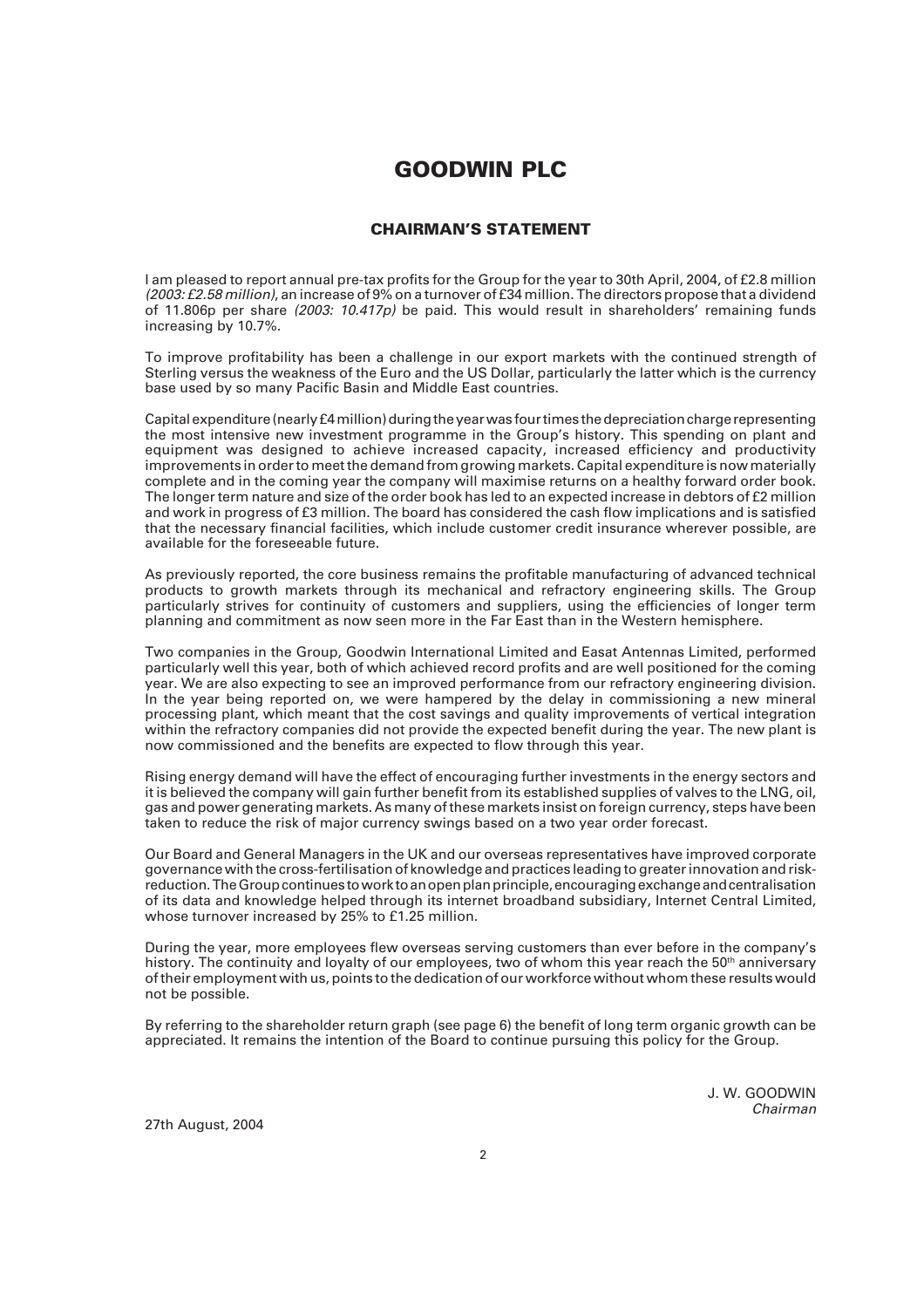## **CHAIRMAN'S STATEMENT**

I am pleased to report annual pre-tax profits for the Group for the year to 30th April, 2004, of £2.8 million (2003: £2.58 million), an increase of 9% on a turnover of £34 million. The directors propose that a dividend of 11.806p per share (2003: 10.417p) be paid. This would result in shareholders' remaining funds increasing by 10.7%.

To improve profitability has been a challenge in our export markets with the continued strength of Sterling versus the weakness of the Euro and the US Dollar, particularly the latter which is the currency base used by so many Pacific Basin and Middle East countries.

Capital expenditure (nearly £4 million) during the year was four times the depreciation charge representing the most intensive new investment programme in the Group's history. This spending on plant and equipment was designed to achieve increased capacity, increased efficiency and productivity improvements in order to meet the demand from growing markets. Capital expenditure is now materially complete and in the coming year the company will maximise returns on a healthy forward order book. The longer term nature and size of the order book has led to an expected increase in debtors of £2 million and work in progress of £3 million. The board has considered the cash flow implications and is satisfied that the necessary financial facilities, which include customer credit insurance wherever possible, are available for the foreseeable future.

As previously reported, the core business remains the profitable manufacturing of advanced technical products to growth markets through its mechanical and refractory engineering skills. The Group particularly strives for continuity of customers and suppliers, using the efficiencies of longer term planning and commitment as now seen more in the Far East than in the Western hemisphere.

Two companies in the Group, Goodwin International Limited and Easat Antennas Limited, performed particularly well this year, both of which achieved record profits and are well positioned for the coming year. We are also expecting to see an improved performance from our refractory engineering division. In the year being reported on, we were hampered by the delay in commissioning a new mineral processing plant, which meant that the cost savings and quality improvements of vertical integration within the refractory companies did not provide the expected benefit during the year. The new plant is now commissioned and the benefits are expected to flow through this year.

Rising energy demand will have the effect of encouraging further investments in the energy sectors and it is believed the company will gain further benefit from its established supplies of valves to the LNG, oil, gas and power generating markets. As many of these markets insist on foreign currency, steps have been taken to reduce the risk of major currency swings based on a two year order forecast.

Our Board and General Managers in the UK and our overseas representatives have improved corporate governance with the cross-fertilisation of knowledge and practices leading to greater innovation and riskreduction. The Group continues to work to an open plan principle, encouraging exchange and centralisation of its data and knowledge helped through its internet broadband subsidiary, Internet Central Limited, whose turnover increased by 25% to £1.25 million.

During the year, more employees flew overseas serving customers than ever before in the company's history. The continuity and loyalty of our employees, two of whom this year reach the 50<sup>th</sup> anniversary of their employment with us, points to the dedication of our workforce without whom these results would not be possible.

By referring to the shareholder return graph (see page 6) the benefit of long term organic growth can be appreciated. It remains the intention of the Board to continue pursuing this policy for the Group.

> J. W. GOODWIN Chairman

27th August, 2004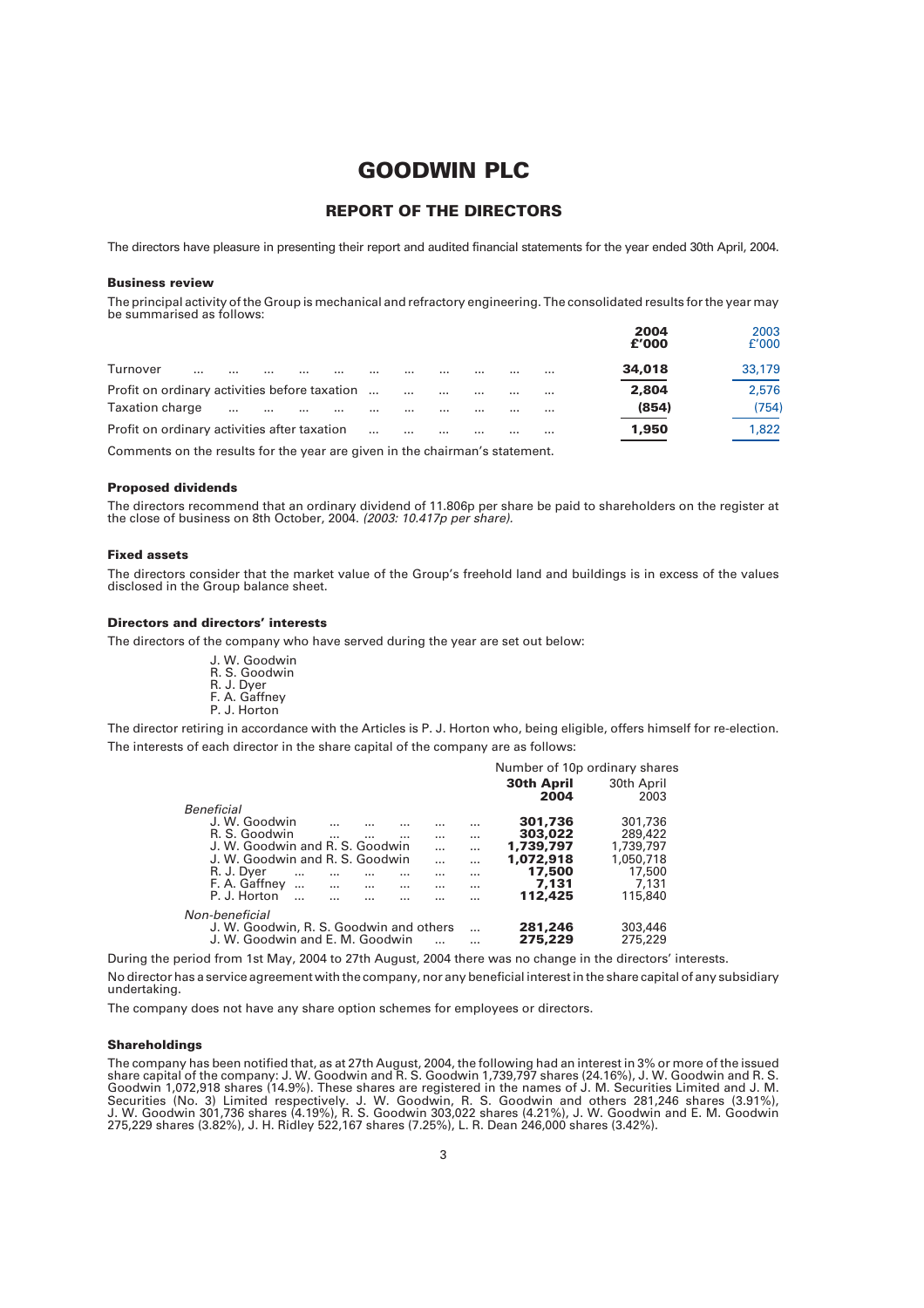## **REPORT OF THE DIRECTORS**

The directors have pleasure in presenting their report and audited financial statements for the year ended 30th April, 2004.

#### **Business review**

The principal activity of the Group is mechanical and refractory engineering. The consolidated results for the year may be summarised as follows:

|                                                                                 |          |          |          |          |                      |          |          |          |          |          | 2004<br>£'000 | 2003<br>f'000 |
|---------------------------------------------------------------------------------|----------|----------|----------|----------|----------------------|----------|----------|----------|----------|----------|---------------|---------------|
| Turnover<br>$\cdots$                                                            | $\cdots$ | $\cdots$ | $\cdots$ | $\cdots$ |                      |          |          |          |          |          | 34,018        | 33,179        |
| Profit on ordinary activities before taxation                                   |          |          |          |          |                      | $\cdots$ | $\cdots$ | $\cdots$ | $\cdots$ | $\cdots$ | 2.804         | 2,576         |
| Taxation charge                                                                 | $\cdots$ | $\cdots$ | $\cdots$ | $\cdots$ | $\cdots$             |          |          |          |          |          | (854)         | (754)         |
| Profit on ordinary activities after taxation                                    |          |          |          |          | $\ddot{\phantom{a}}$ | $\cdots$ | $\cdots$ | $\cdots$ | $\cdots$ | $\cdots$ | 1,950         | 1.822         |
| Commonitor on the vesulte fauther were one always in the electronomic ototament |          |          |          |          |                      |          |          |          |          |          |               |               |

Comments on the results for the year are given in the chairman's statement.

### **Proposed dividends**

The directors recommend that an ordinary dividend of 11.806p per share be paid to shareholders on the register at the close of business on 8th October, 2004. (2003: 10.417p per share).

#### **Fixed assets**

The directors consider that the market value of the Group's freehold land and buildings is in excess of the values disclosed in the Group balance sheet.

### **Directors and directors' interests**

The directors of the company who have served during the year are set out below:

J. W. Goodwin R. S. Goodwin R. J. Dyer F. A. Gaffney P. J. Horton

The director retiring in accordance with the Articles is P. J. Horton who, being eligible, offers himself for re-election. The interests of each director in the share capital of the company are as follows:

|                                         |          |          |          |          |          |          | Number of 10p ordinary shares |            |
|-----------------------------------------|----------|----------|----------|----------|----------|----------|-------------------------------|------------|
|                                         |          |          |          |          |          |          | <b>30th April</b>             | 30th April |
|                                         |          |          |          |          |          |          | 2004                          | 2003       |
| Beneficial                              |          |          |          |          |          |          |                               |            |
| J. W. Goodwin                           |          |          |          | $\cdots$ |          |          | 301.736                       | 301,736    |
| R. S. Goodwin                           |          | $\cdots$ | $\cdots$ | $\cdots$ | $\cdots$ | $\cdots$ | 303,022                       | 289,422    |
| J. W. Goodwin and R. S. Goodwin         |          |          |          |          | $\cdots$ | $\cdots$ | 1.739.797                     | 1,739,797  |
| J. W. Goodwin and R. S. Goodwin         |          |          |          |          | $\cdots$ | $\cdots$ | 1.072.918                     | 1,050,718  |
| R. J. Dyer                              | $\cdots$ | $\cdots$ |          | $\cdots$ |          |          | 17,500                        | 17,500     |
| F. A. Gaffney                           | $\cdots$ | $\cdots$ | $\cdots$ | $\cdots$ |          |          | 7.131                         | 7.131      |
| P. J. Horton                            |          |          | .        | $\cdots$ |          | .        | 112,425                       | 115,840    |
| Non-beneficial                          |          |          |          |          |          |          |                               |            |
| J. W. Goodwin, R. S. Goodwin and others |          |          |          |          |          | $\cdots$ | 281,246                       | 303,446    |
| J. W. Goodwin and E. M. Goodwin         |          |          |          |          |          | .        | 275,229                       | 275,229    |
|                                         |          |          |          |          |          |          |                               |            |

During the period from 1st May, 2004 to 27th August, 2004 there was no change in the directors' interests. No director has a service agreement with the company, nor any beneficial interest in the share capital of any subsidiary undertaking.

The company does not have any share option schemes for employees or directors.

#### **Shareholdings**

The company has been notified that, as at 27th August, 2004, the following had an interest in 3% or more of the issued<br>share capital of the company: J. W. Goodwin and R. S. Goodwin 1,739,797 shares (24.16%), J. W. Goodwin Goodwin 1,072,918 shares (14.9%). These shares are registered in the names of J. M. Securities Limited and J. M. Securities (No. 3) Limited respectively. J. W. Goodwin, R. S. Goodwin and others 281,246 shares (3.91%), J. W. Goodwin 301,736 shares (4.19%), R. S. Goodwin 303,022 shares (4.21%), J. W. Goodwin and E. M. Goodwin 275,229 shares (3.82%), J. H. Ridley 522,167 shares (7.25%), L. R. Dean 246,000 shares (3.42%).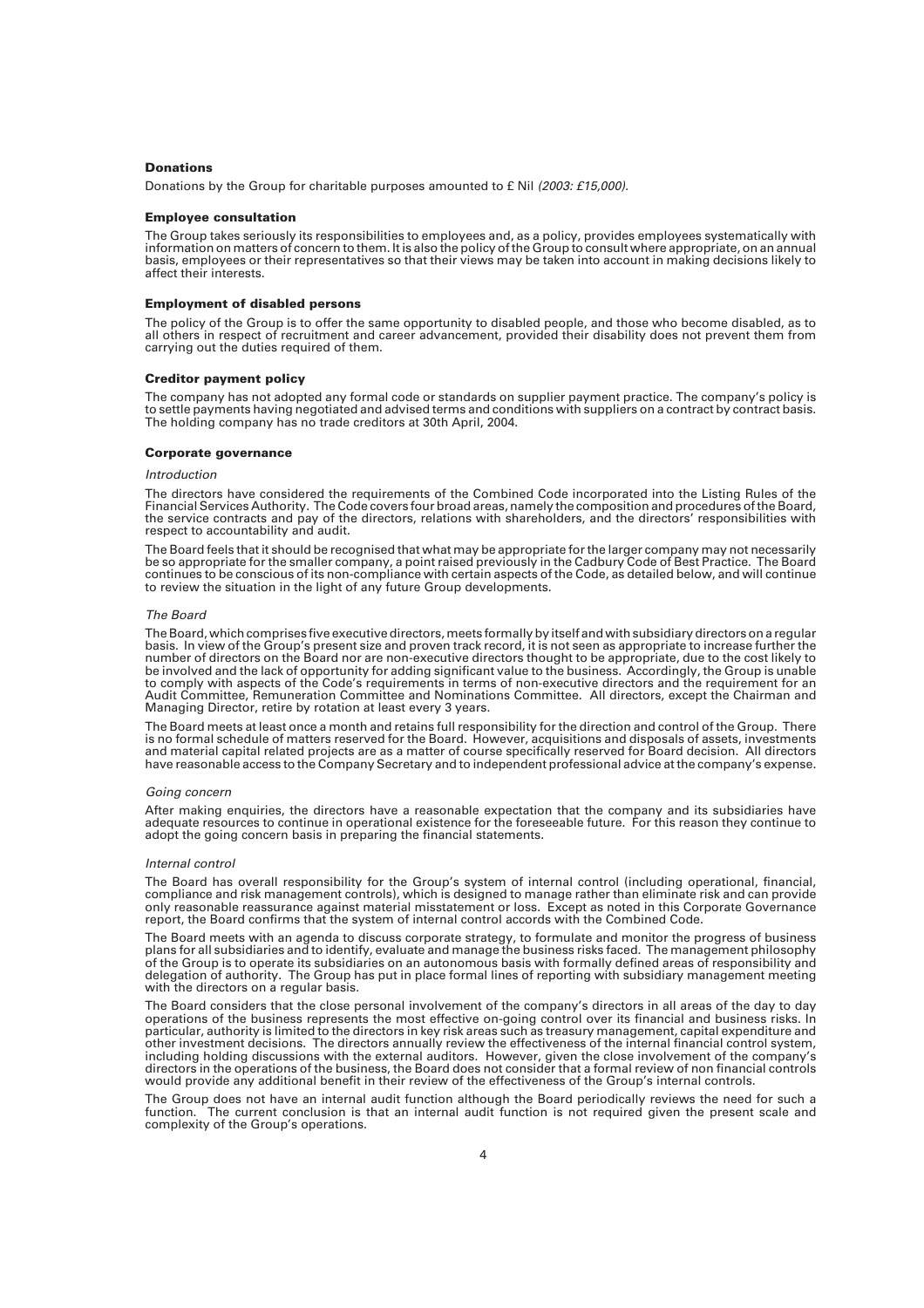## **Donations**

Donations by the Group for charitable purposes amounted to £ Nil (2003: £15,000).

#### **Employee consultation**

The Group takes seriously its responsibilities to employees and, as a policy, provides employees systematically with information on matters of concern to them. It is also the policy of the Group to consult where appropriate, on an annual basis, employees or their representatives so that their views may be taken into account in making decisions likely to affect their interests.

#### **Employment of disabled persons**

The policy of the Group is to offer the same opportunity to disabled people, and those who become disabled, as to all others in respect of recruitment and career advancement, provided their disability does not prevent them from carrying out the duties required of them.

#### **Creditor payment policy**

The company has not adopted any formal code or standards on supplier payment practice. The company's policy is to settle payments having negotiated and advised terms and conditions with suppliers on a contract by contract basis. The holding company has no trade creditors at 30th April, 2004.

#### **Corporate governance**

#### Introduction

The directors have considered the requirements of the Combined Code incorporated into the Listing Rules of the Financial Services Authority. The Code covers four broad areas, namely the composition and procedures of the Board, the service contracts and pay of the directors, relations with shareholders, and the directors' responsibilities with respect to accountability and audit.

The Board feels that it should be recognised that what may be appropriate for the larger company may not necessarily be so appropriate for the smaller company, a point raised previously in the Cadbury Code of Best Practice. The Board continues to be conscious of its non-compliance with certain aspects of the Code, as detailed below, and will continue to review the situation in the light of any future Group developments.

#### The Board

The Board, which comprises five executive directors, meets formally by itself and with subsidiary directors on a regular basis. In view of the Group's present size and proven track record, it is not seen as appropriate to increase further the number of directors on the Board nor are non-executive directors thought to be appropriate, due to the cost likely to be involved and the lack of opportunity for adding significant value to the business. Accordingly, the Group is unable to comply with aspects of the Code's requirements in terms of non-executive directors and the requirement for an Audit Committee, Remuneration Committee and Nominations Committee. All directors, except the Chairman and Managing Director, retire by rotation at least every 3 years.

The Board meets at least once a month and retains full responsibility for the direction and control of the Group. There is no formal schedule of matters reserved for the Board. However, acquisitions and disposals of assets, investments<br>and material capital related projects are as a matter of course specifically reserved for Board decision. have reasonable access to the Company Secretary and to independent professional advice at the company's expense.

#### Going concern

After making enquiries, the directors have a reasonable expectation that the company and its subsidiaries have adequate resources to continue in operational existence for the foreseeable future. For this reason they continue to adopt the going concern basis in preparing the financial statements.

#### Internal control

The Board has overall responsibility for the Group's system of internal control (including operational, financial, compliance and risk management controls), which is designed to manage rather than eliminate risk and can provide only reasonable reassurance against material misstatement or loss. Except as noted in this Corporate Governance report, the Board confirms that the system of internal control accords with the Combined Code.

The Board meets with an agenda to discuss corporate strategy, to formulate and monitor the progress of business plans for all subsidiaries and to identify, evaluate and manage the business risks faced. The management philosophy of the Group is to operate its subsidiaries on an autonomous basis with formally defined areas of responsibility and delegation of authority. The Group has put in place formal lines of reporting with subsidiary management meeting with the directors on a regular basis.

The Board considers that the close personal involvement of the company's directors in all areas of the day to day operations of the business represents the most effective on-going control over its financial and business risks. In particular, authority is limited to the directors in key risk areas such as treasury management, capital expenditure and other investment decisions. The directors annually review the effectiveness of the internal financial control system, including holding discussions with the external auditors. However, given the close involvement of the company's<br>directors in the operations of the business, the Board does not consider that a formal review of non financia would provide any additional benefit in their review of the effectiveness of the Group's internal controls.

The Group does not have an internal audit function although the Board periodically reviews the need for such a function. The current conclusion is that an internal audit function is not required given the present scale and complexity of the Group's operations.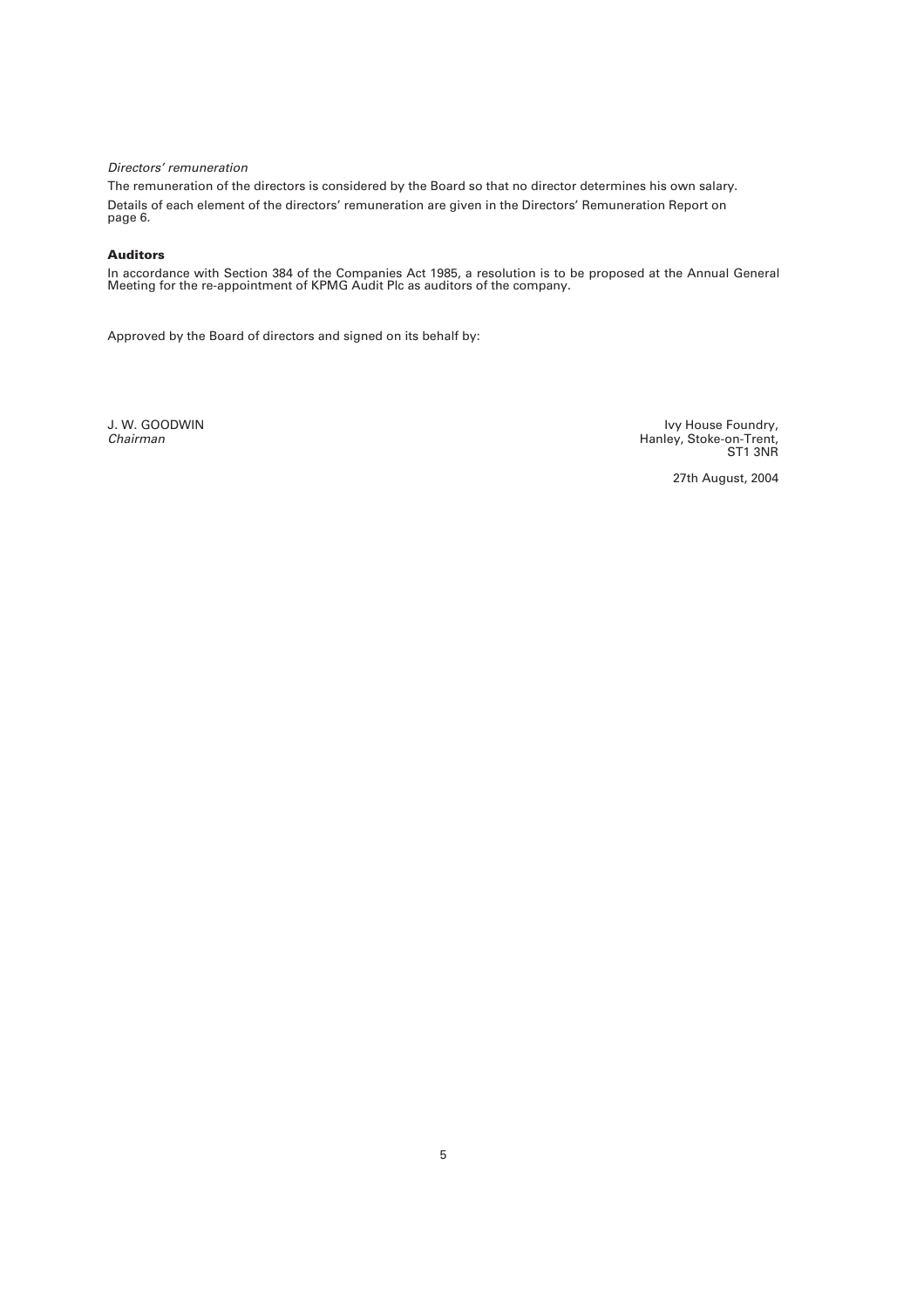## Directors' remuneration

The remuneration of the directors is considered by the Board so that no director determines his own salary. Details of each element of the directors' remuneration are given in the Directors' Remuneration Report on page 6.

### **Auditors**

In accordance with Section 384 of the Companies Act 1985, a resolution is to be proposed at the Annual General Meeting for the re-appointment of KPMG Audit Plc as auditors of the company.

Approved by the Board of directors and signed on its behalf by:

J. W. GOODWIN Ivy House Foundry, Chairman Hanley, Stoke-on-Trent, ST1 3NR

27th August, 2004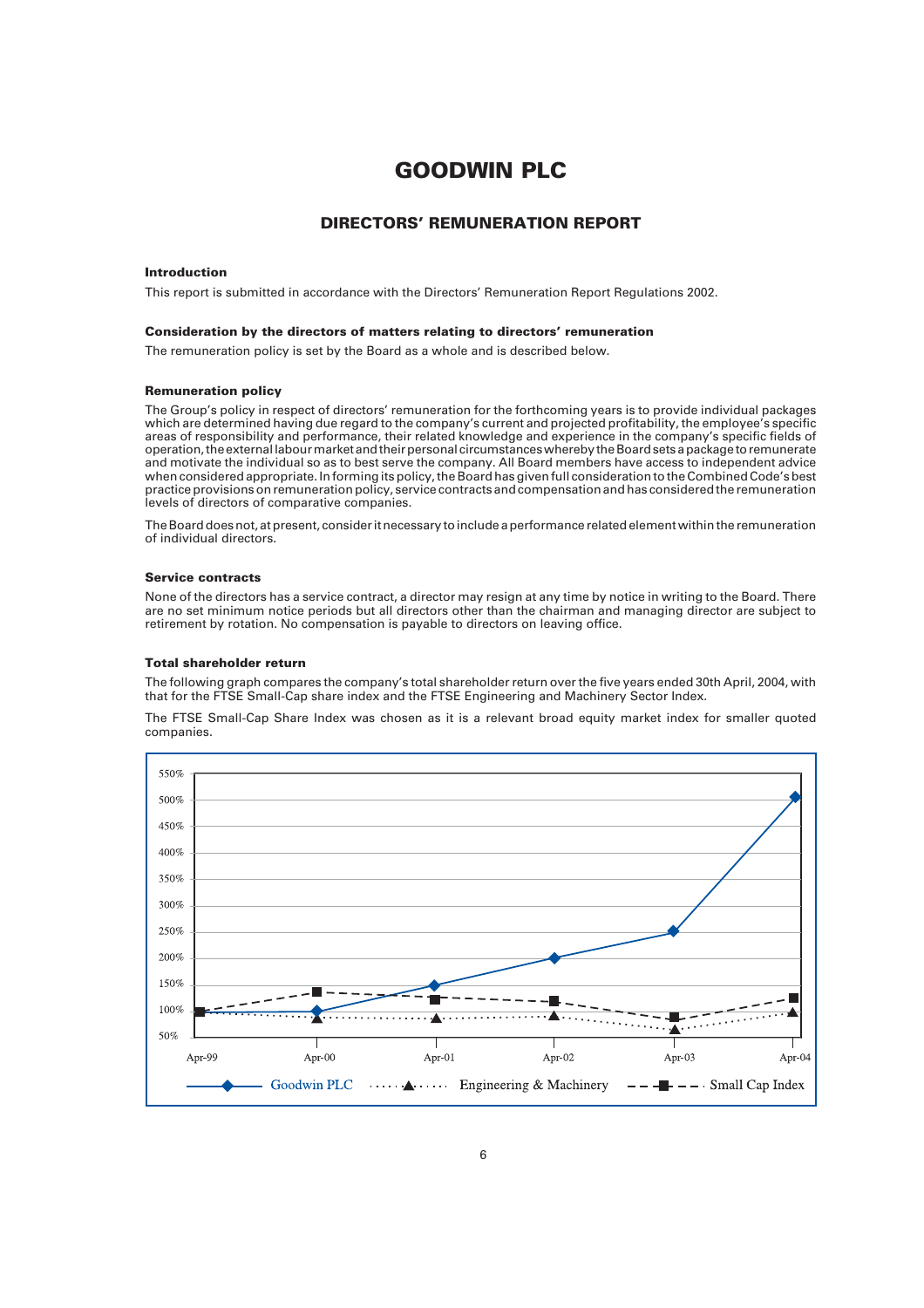## **DIRECTORS' REMUNERATION REPORT**

### **Introduction**

This report is submitted in accordance with the Directors' Remuneration Report Regulations 2002.

## **Consideration by the directors of matters relating to directors' remuneration**

The remuneration policy is set by the Board as a whole and is described below.

#### **Remuneration policy**

The Group's policy in respect of directors' remuneration for the forthcoming years is to provide individual packages which are determined having due regard to the company's current and projected profitability, the employee's specific areas of responsibility and performance, their related knowledge and experience in the company's specific fields of operation, the external labour market and their personal circumstances whereby the Board sets a package to remunerate and motivate the individual so as to best serve the company. All Board members have access to independent advice when considered appropriate. In forming its policy, the Board has given full consideration to the Combined Code's best practice provisions on remuneration policy, service contracts and compensation and has considered the remuneration levels of directors of comparative companies.

The Board does not, at present, consider it necessary to include a performance related element within the remuneration of individual directors.

## **Service contracts**

None of the directors has a service contract, a director may resign at any time by notice in writing to the Board. There are no set minimum notice periods but all directors other than the chairman and managing director are subject to retirement by rotation. No compensation is payable to directors on leaving office.

#### **Total shareholder return**

The following graph compares the company's total shareholder return over the five years ended 30th April, 2004, with that for the FTSE Small-Cap share index and the FTSE Engineering and Machinery Sector Index.

The FTSE Small-Cap Share Index was chosen as it is a relevant broad equity market index for smaller quoted companies.

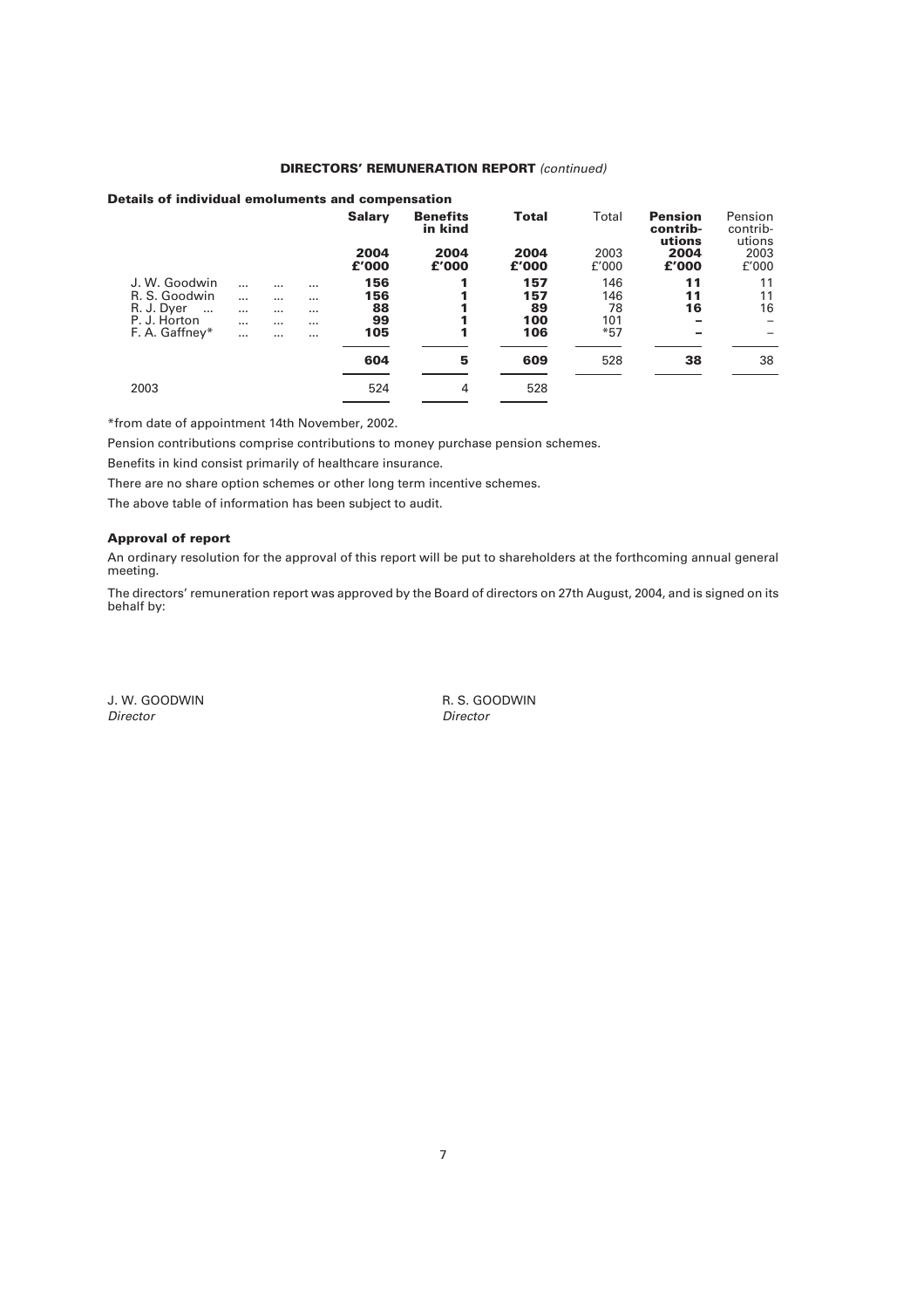## **DIRECTORS' REMUNERATION REPORT** (continued)

## **Details of individual emoluments and compensation**

|                                                                                            |                                                          |                                                          |                                                          | <b>Salary</b><br>2004<br>£'000 | <b>Benefits</b><br>in kind<br>2004<br>£'000 | <b>Total</b><br>2004<br>£'000  | Total<br>2003<br>f'000           | <b>Pension</b><br>contrib-<br>utions<br>2004<br>£'000 | Pension<br>contrib-<br>utions<br>2003<br>f'000 |
|--------------------------------------------------------------------------------------------|----------------------------------------------------------|----------------------------------------------------------|----------------------------------------------------------|--------------------------------|---------------------------------------------|--------------------------------|----------------------------------|-------------------------------------------------------|------------------------------------------------|
| J. W. Goodwin<br>R. S. Goodwin<br>R. J. Dver<br>$\cdots$<br>P. J. Horton<br>F. A. Gaffney* | $\cdots$<br>$\cdots$<br>$\cdots$<br>$\cdots$<br>$\cdots$ | $\cdots$<br>$\cdots$<br>$\cdots$<br>$\cdots$<br>$\cdots$ | $\cdots$<br>$\cdots$<br>$\cdots$<br>$\cdots$<br>$\cdots$ | 156<br>156<br>88<br>99<br>105  |                                             | 157<br>157<br>89<br>100<br>106 | 146<br>146<br>78<br>101<br>$*57$ | 11<br>11<br>16<br>-                                   | 11<br>11<br>16                                 |
|                                                                                            |                                                          |                                                          |                                                          | 604                            | 5                                           | 609                            | 528                              | 38                                                    | 38                                             |
| 2003                                                                                       |                                                          |                                                          |                                                          | 524                            | 4                                           | 528                            |                                  |                                                       |                                                |

\*from date of appointment 14th November, 2002.

Pension contributions comprise contributions to money purchase pension schemes.

Benefits in kind consist primarily of healthcare insurance.

There are no share option schemes or other long term incentive schemes.

The above table of information has been subject to audit.

## **Approval of report**

An ordinary resolution for the approval of this report will be put to shareholders at the forthcoming annual general meeting.

The directors' remuneration report was approved by the Board of directors on 27th August, 2004, and is signed on its behalf by:

J. W. GOODWIN B. S. GOODWIN Director Director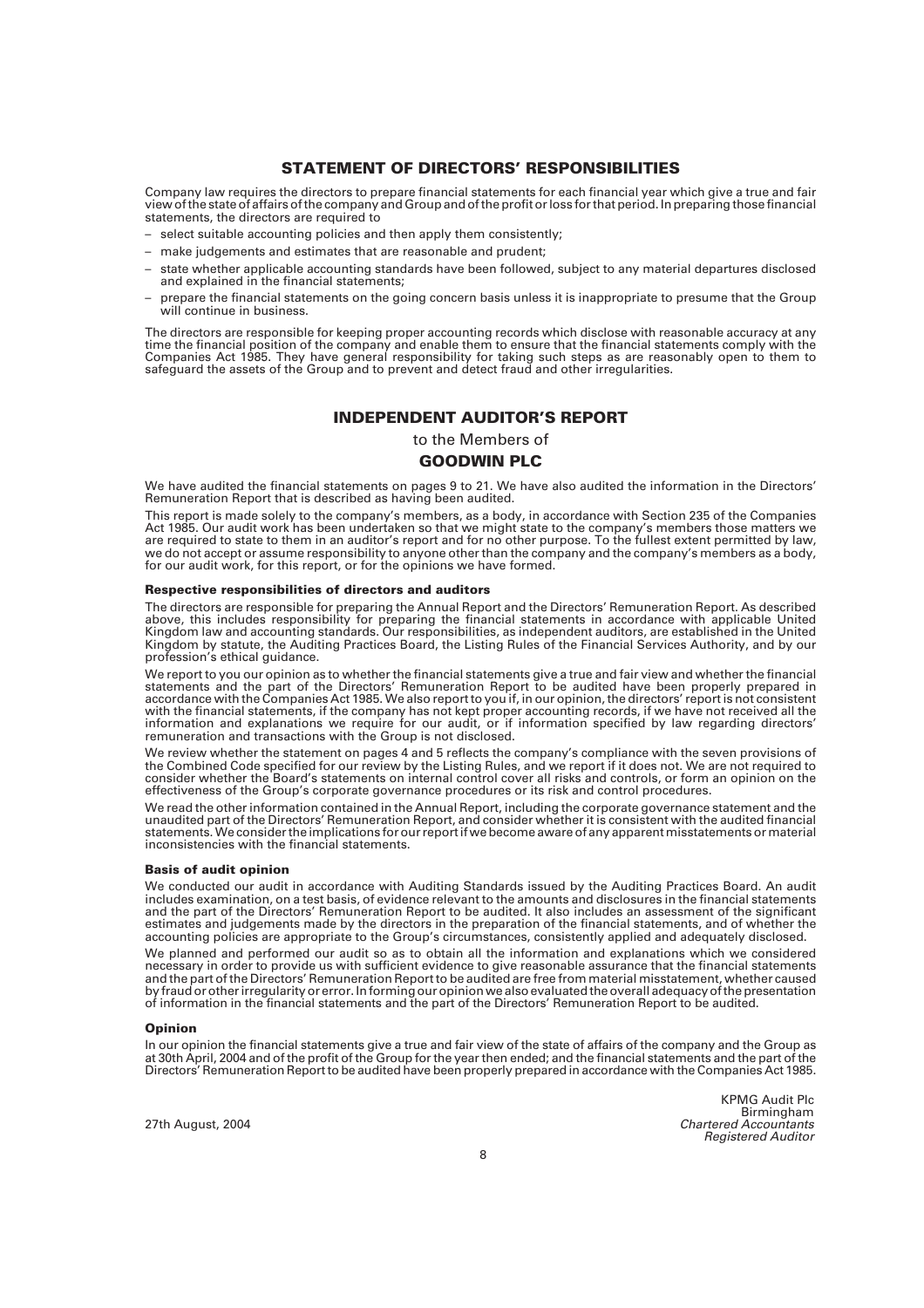## **STATEMENT OF DIRECTORS' RESPONSIBILITIES**

Company law requires the directors to prepare financial statements for each financial year which give a true and fair view of the state of affairs of the company and Group and of the profit or loss for that period. In preparing those financial statements, the directors are required to

- select suitable accounting policies and then apply them consistently;
- make judgements and estimates that are reasonable and prudent;
- state whether applicable accounting standards have been followed, subject to any material departures disclosed and explained in the financial statements;
- prepare the financial statements on the going concern basis unless it is inappropriate to presume that the Group will continue in business.

The directors are responsible for keeping proper accounting records which disclose with reasonable accuracy at any time the financial position of the company and enable them to ensure that the financial statements comply with the Companies Act 1985. They have general responsibility for taking such steps as are reasonably open to them to safeguard the assets of the Group and to prevent and detect fraud and other irregularities.

## **INDEPENDENT AUDITOR'S REPORT**

to the Members of

### **GOODWIN PLC**

We have audited the financial statements on pages 9 to 21. We have also audited the information in the Directors' Remuneration Report that is described as having been audited.

This report is made solely to the company's members, as a body, in accordance with Section 235 of the Companies Act 1985. Our audit work has been undertaken so that we might state to the company's members those matters we are required to state to them in an auditor's report and for no other purpose. To the fullest extent permitted by law, we do not accept or assume responsibility to anyone other than the company and the company's members as a body, for our audit work, for this report, or for the opinions we have formed.

### **Respective responsibilities of directors and auditors**

The directors are responsible for preparing the Annual Report and the Directors' Remuneration Report. As described above, this includes responsibility for preparing the financial statements in accordance with applicable United Kingdom law and accounting standards. Our responsibilities, as independent auditors, are established in the United Kingdom by statute, the Auditing Practices Board, the Listing Rules of the Financial Services Authority, and by our profession's ethical guidance.

We report to you our opinion as to whether the financial statements give a true and fair view and whether the financial<br>statements and the part of the Directors' Remuneration Report to be audited have been pr accordance with the Companies Act 1985. We also report to you if, in our opinion, the directors' report is not consistent with the financial statements, if the company has not kept proper accounting records, if we have not received all the<br>information and explanations we require for our audit, or if information specified by law remuneration and transactions with the Group is not disclosed.

We review whether the statement on pages 4 and 5 reflects the company's compliance with the seven provisions of<br>the Combined Code specified for our review by the Listing Rules, and we report if it does not. We are not requ consider whether the Board's statements on internal control cover all risks and controls, or form an opinion on the effectiveness of the Group's corporate governance procedures or its risk and control procedures.

We read the other information contained in the Annual Report, including the corporate governance statement and the unaudited part of the Directors' Remuneration Report, and consider whether it is consistent with the audited financial statements. We consider the implications for our report if we become aware of any apparent misstatements or material inconsistencies with the financial statements.

#### **Basis of audit opinion**

We conducted our audit in accordance with Auditing Standards issued by the Auditing Practices Board. An audit includes examination, on a test basis, of evidence relevant to the amounts and disclosures in the financial statements and the part of the Directors' Remuneration Report to be audited. It also includes an assessment of the significant estimates and judgements made by the directors in the preparation of the financial statements, and of whether the accounting policies are appropriate to the Group's circumstances, consistently applied and adequately disclosed.

We planned and performed our audit so as to obtain all the information and explanations which we considered necessary in order to provide us with sufficient evidence to give reasonable assurance that the financial statements and the part of the Directors' Remuneration Report to be audited are free from material misstatement, whether caused by fraud or other irregularity or error. In forming our opinion we also evaluated the overall adequacy of the presentation<br>of information in the financial statements and the part of the Directors' Remuneration Report to be

#### **Opinion**

In our opinion the financial statements give a true and fair view of the state of affairs of the company and the Group as at 30th April, 2004 and of the profit of the Group for the year then ended; and the financial statements and the part of the Directors' Remuneration Report to be audited have been properly prepared in accordance with the Companies Act 1985.

KPMG Audit Plc **Birmingham** 27th August, 2004 Chartered Accountants Registered Auditor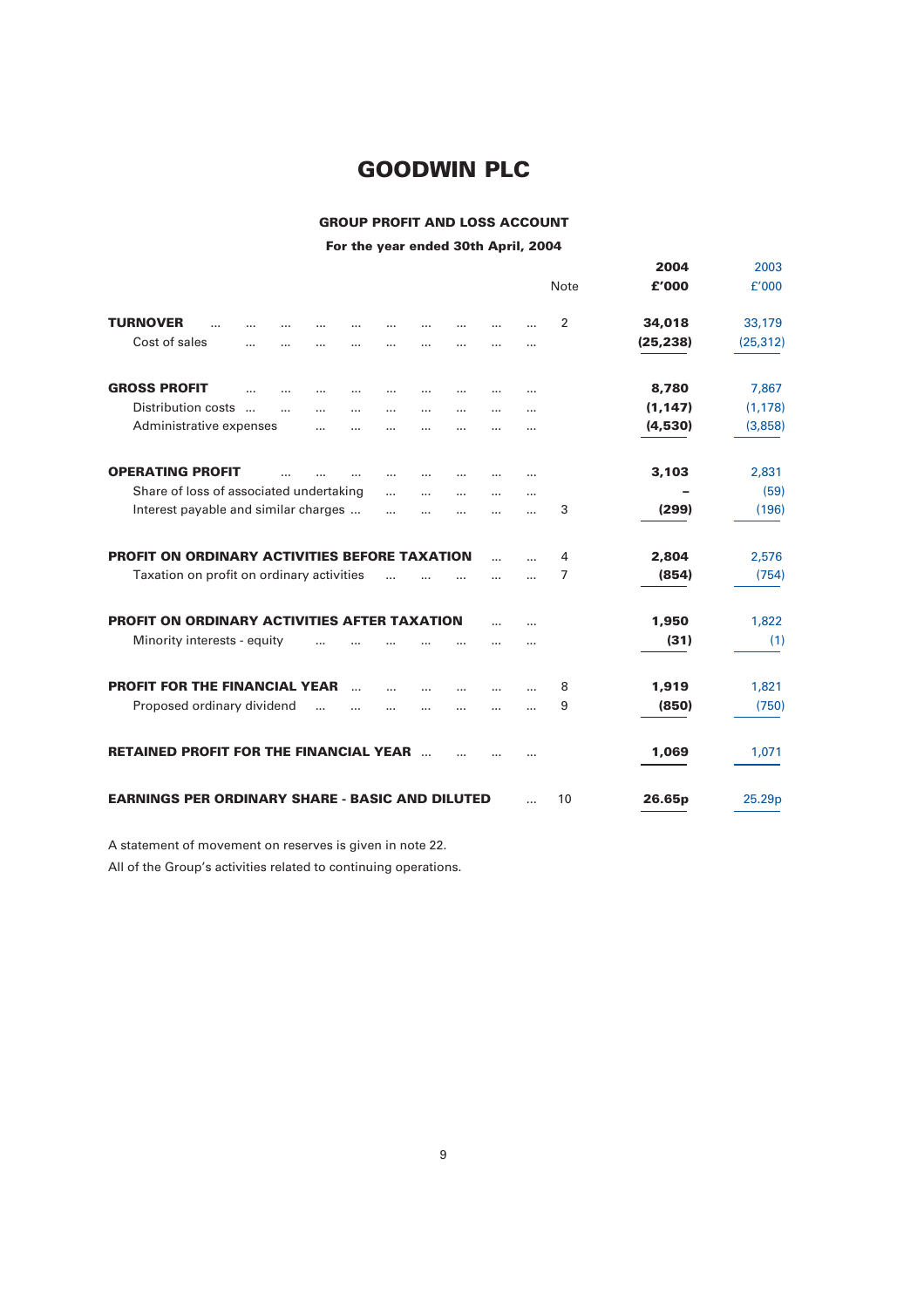## **GROUP PROFIT AND LOSS ACCOUNT**

## **For the year ended 30th April, 2004**

|                                                        |                          |          |           |           |          |          |          |          |          |                | 2004      | 2003      |
|--------------------------------------------------------|--------------------------|----------|-----------|-----------|----------|----------|----------|----------|----------|----------------|-----------|-----------|
|                                                        |                          |          |           |           |          |          |          |          |          | Note           | £'000     | f'000     |
| <b>TURNOVER</b><br>$\sim$                              |                          |          |           |           |          |          |          |          |          | $\overline{2}$ | 34,018    | 33,179    |
| Cost of sales                                          |                          |          |           |           |          |          |          |          |          |                | (25, 238) | (25, 312) |
| <b>GROSS PROFIT</b>                                    |                          |          |           |           |          |          |          |          |          |                | 8,780     | 7,867     |
| <b>Distribution costs</b>                              | $\overline{\phantom{a}}$ | $\cdots$ | $\cdots$  | $\cdots$  | $\cdots$ | $\cdots$ | $\cdots$ |          | $\cdots$ |                | (1, 147)  | (1, 178)  |
| Administrative expenses                                |                          |          | $\ddotsc$ |           |          |          |          |          |          |                | (4,530)   | (3,858)   |
| <b>OPERATING PROFIT</b>                                |                          |          |           |           |          |          |          |          |          |                | 3,103     | 2,831     |
| Share of loss of associated undertaking                |                          |          |           |           |          |          |          |          |          |                |           | (59)      |
| Interest payable and similar charges                   |                          |          |           |           | $\cdots$ | .        |          |          | $\cdots$ | 3              | (299)     | (196)     |
| PROFIT ON ORDINARY ACTIVITIES BEFORE TAXATION          |                          |          |           |           |          |          |          |          | $\cdots$ | 4              | 2,804     | 2,576     |
| Taxation on profit on ordinary activities              |                          |          |           |           | $\cdots$ |          |          | $\cdots$ | $\cdots$ | 7              | (854)     | (754)     |
| <b>PROFIT ON ORDINARY ACTIVITIES AFTER TAXATION</b>    |                          |          |           |           |          |          |          |          |          |                | 1,950     | 1,822     |
| Minority interests - equity                            |                          |          |           |           |          |          |          |          |          |                | (31)      | (1)       |
| <b>PROFIT FOR THE FINANCIAL YEAR</b>                   |                          |          |           | $\ddotsc$ |          |          |          |          | $\cdots$ | 8              | 1,919     | 1,821     |
| Proposed ordinary dividend                             |                          |          | $\ddotsc$ |           |          |          |          |          | $\cdots$ | 9              | (850)     | (750)     |
| <b>RETAINED PROFIT FOR THE FINANCIAL YEAR</b>          |                          |          |           |           |          |          |          |          |          |                | 1,069     | 1,071     |
| <b>EARNINGS PER ORDINARY SHARE - BASIC AND DILUTED</b> |                          |          |           |           |          |          |          |          |          | 10             | 26.65p    | 25.29p    |

A statement of movement on reserves is given in note 22. All of the Group's activities related to continuing operations.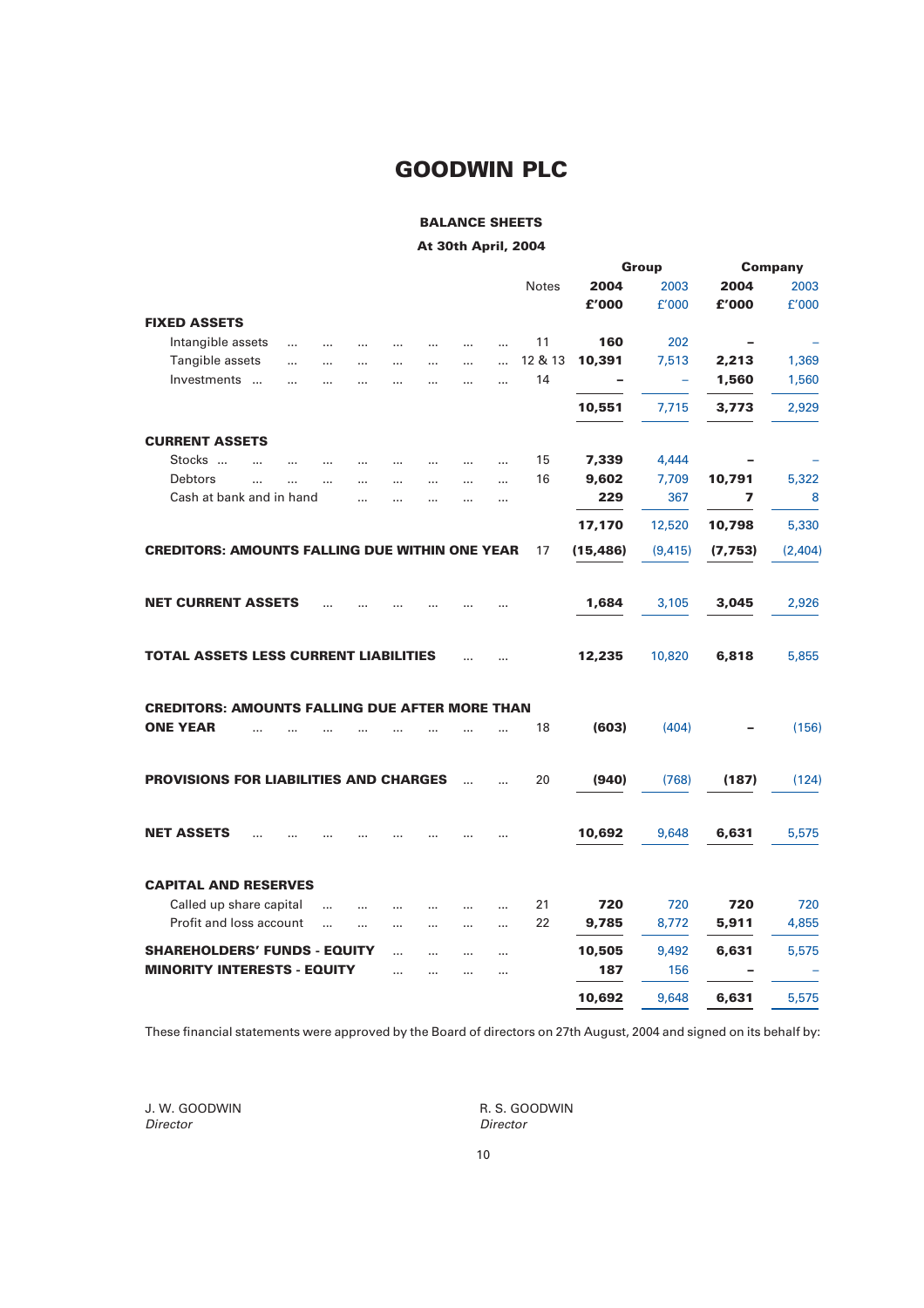## **BALANCE SHEETS**

## **At 30th April, 2004**

|                                                       |           |          |           |               |                      |              |           |              | Group         |              |                              | <b>Company</b> |
|-------------------------------------------------------|-----------|----------|-----------|---------------|----------------------|--------------|-----------|--------------|---------------|--------------|------------------------------|----------------|
|                                                       |           |          |           |               |                      |              |           | <b>Notes</b> | 2004          | 2003         | 2004                         | 2003           |
|                                                       |           |          |           |               |                      |              |           |              | £'000         | f'000        | £'000                        | f'000          |
| <b>FIXED ASSETS</b>                                   |           |          |           |               |                      |              |           |              |               |              |                              |                |
| Intangible assets                                     | $\cdots$  | .        | .         |               | .                    |              | $\cdots$  | 11           | 160           | 202          | $\qquad \qquad \blacksquare$ |                |
| Tangible assets                                       | $\cdots$  |          |           |               |                      | .            | $\ddotsc$ | 12 & 13      | 10,391        | 7,513        | 2,213                        | 1,369          |
| Investments                                           |           |          |           |               | $\cdots$             |              | .         | 14           | -             | ÷            | 1,560                        | 1,560          |
|                                                       |           |          |           |               |                      |              |           |              | 10,551        | 7,715        | 3,773                        | 2,929          |
| <b>CURRENT ASSETS</b>                                 |           |          |           |               |                      |              |           |              |               |              |                              |                |
| Stocks                                                | $\ddotsc$ |          | $\cdots$  | $\cdots$      |                      |              |           | 15           | 7,339         | 4,444        |                              |                |
| Debtors<br>$\ddotsc$                                  | $\ddotsc$ | $\cdots$ |           |               |                      |              | $\ddotsc$ | 16           | 9,602         | 7,709        | 10,791                       | 5,322          |
| Cash at bank and in hand                              |           |          |           | $\cdots$      |                      |              |           |              | 229           | 367          | 7                            | 8              |
|                                                       |           |          |           |               |                      |              |           |              | 17,170        | 12,520       | 10,798                       | 5,330          |
| <b>CREDITORS: AMOUNTS FALLING DUE WITHIN ONE YEAR</b> |           |          |           |               |                      |              |           | 17           | (15, 486)     | (9, 415)     | (7, 753)                     | (2,404)        |
|                                                       |           |          |           |               |                      |              |           |              |               |              |                              |                |
| <b>NET CURRENT ASSETS</b>                             |           |          |           |               |                      |              | $\ddotsc$ |              | 1,684         | 3,105        | 3,045                        | 2,926          |
| <b>TOTAL ASSETS LESS CURRENT LIABILITIES</b>          |           |          |           |               |                      |              |           |              | 12,235        | 10,820       | 6,818                        | 5,855          |
| <b>CREDITORS: AMOUNTS FALLING DUE AFTER MORE THAN</b> |           |          |           |               |                      |              |           |              |               |              |                              |                |
| <b>ONE YEAR</b>                                       |           |          |           |               |                      |              |           | 18           | (603)         | (404)        |                              | (156)          |
| <b>PROVISIONS FOR LIABILITIES AND CHARGES</b>         |           |          |           |               |                      |              | $\sim$    | 20           | (940)         | (768)        | (187)                        | (124)          |
| <b>NET ASSETS</b>                                     |           |          |           |               |                      |              |           |              | 10,692        | 9,648        | 6,631                        | 5,575          |
| <b>CAPITAL AND RESERVES</b>                           |           |          |           |               |                      |              |           |              |               |              |                              |                |
| Called up share capital                               |           |          | $\ddotsc$ | $\cdots$      | $\ddotsc$            | $\ddotsc$    | $\ddotsc$ | 21           | 720           | 720          | 720                          | 720            |
| Profit and loss account                               |           | $\cdots$ |           | $\cdots$      |                      |              |           | 22           | 9,785         | 8,772        | 5,911                        | 4,855          |
| <b>SHAREHOLDERS' FUNDS - EQUITY</b>                   |           |          |           |               |                      |              |           |              |               |              |                              |                |
| <b>MINORITY INTERESTS - EQUITY</b>                    |           |          |           | <br>$\ddotsc$ | $\cdots$<br>$\cdots$ | <br>$\cdots$ | .<br>.    |              | 10,505<br>187 | 9,492<br>156 | 6,631                        | 5,575          |
|                                                       |           |          |           |               |                      |              |           |              |               |              |                              |                |
|                                                       |           |          |           |               |                      |              |           |              | 10,692        | 9,648        | 6,631                        | 5,575          |

These financial statements were approved by the Board of directors on 27th August, 2004 and signed on its behalf by:

J. W. GOODWIN Birector R. S. GOODWIN Birector Director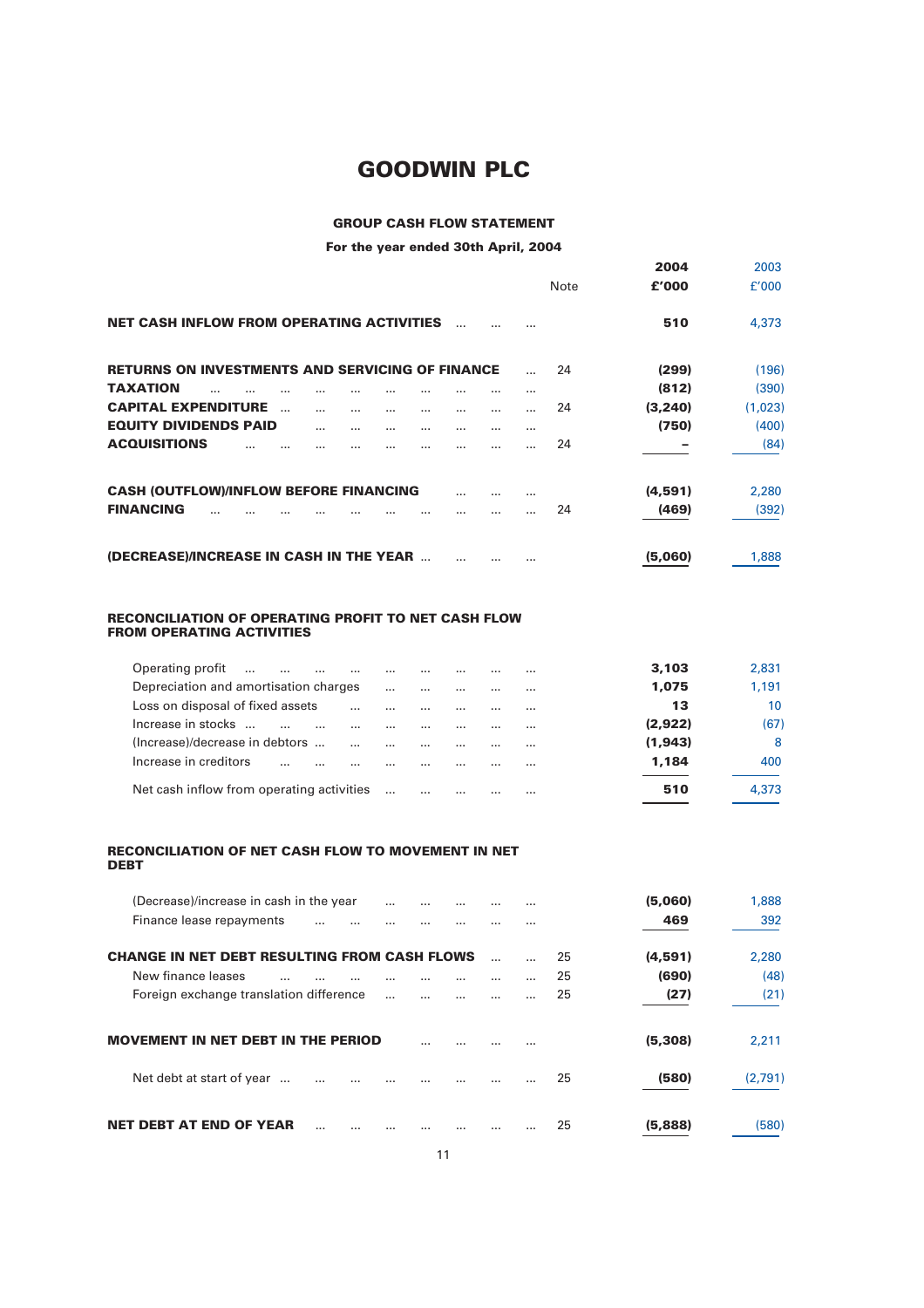## **GROUP CASH FLOW STATEMENT**

## **For the year ended 30th April, 2004**

|                                                        |          |      |   |   |   |   |      | 2004    | 2003    |
|--------------------------------------------------------|----------|------|---|---|---|---|------|---------|---------|
|                                                        |          |      |   |   |   |   | Note | £'000   | f'000   |
| <b>NET CASH INFLOW FROM OPERATING ACTIVITIES</b>       |          |      |   |   |   |   |      | 510     | 4,373   |
| <b>RETURNS ON INVESTMENTS AND SERVICING OF FINANCE</b> |          |      |   |   |   |   | 24   | (299)   | (196)   |
| <b>TAXATION</b><br>.                                   |          | .    |   | . |   |   |      | (812)   | (390)   |
| <b>CAPITAL EXPENDITURE</b>                             |          | <br> |   |   |   |   | 24   | (3,240) | (1,023) |
| <b>EQUITY DIVIDENDS PAID</b>                           | $\cdots$ | <br> |   |   |   |   |      | (750)   | (400)   |
| <b>ACQUISITIONS</b><br>.                               |          |      | . | . | . | . | 24   |         | (84)    |
| <b>CASH (OUTFLOW)/INFLOW BEFORE FINANCING</b>          |          |      |   |   |   |   |      | (4,591) | 2,280   |
| <b>FINANCING</b><br>.                                  |          |      |   | . | . |   | 24   | (469)   | (392)   |
| (DECREASE)/INCREASE IN CASH IN THE YEAR                |          |      |   |   |   |   |      | (5,060) | 1,888   |

## **RECONCILIATION OF OPERATING PROFIT TO NET CASH FLOW FROM OPERATING ACTIVITIES**

| Operating profit<br>$\sim$<br>$\sim$ 100 $\mu$<br>$\sim$ $\sim$ $\sim$<br>$\sim$ $\sim$ $\sim$ | $\sim$ $\sim$ | $\cdots$ | $\cdots$ | $\cdots$ | $\cdots$ | 3,103   | 2,831 |
|------------------------------------------------------------------------------------------------|---------------|----------|----------|----------|----------|---------|-------|
| Depreciation and amortisation charges                                                          | $\cdots$      | $\cdots$ | $\cdots$ | $\cdots$ | $\cdots$ | 1,075   | 1.191 |
| Loss on disposal of fixed assets<br>$\cdots$                                                   | $\cdots$      | $\cdots$ | $\cdots$ | $\cdots$ | $\cdots$ | 13      | 10    |
| Increase in stocks<br>$\cdots$<br>$\cdots$                                                     | $\cdots$      | $\cdots$ | $\cdots$ |          |          | (2,922) | (67)  |
| (Increase)/decrease in debtors<br>$\cdots$                                                     | $\cdots$      | $\cdots$ | $\cdots$ | $\cdots$ | $\cdots$ | (1,943) | 8     |
| Increase in creditors<br>$\cdots$<br>$\cdots$<br>$\cdots$                                      | $\cdots$      | $\cdots$ |          | $\cdots$ | $\cdots$ | 1.184   | 400   |
| Net cash inflow from operating activities                                                      | $\sim$        | $\cdots$ | $\cdots$ | $\cdots$ | $\cdots$ | 510     | 4,373 |

## **RECONCILIATION OF NET CASH FLOW TO MOVEMENT IN NET DEBT**

| (Decrease)/increase in cash in the year               |  | $\cdots$ |  |          |    | (5,060) | 1,888   |
|-------------------------------------------------------|--|----------|--|----------|----|---------|---------|
| Finance lease repayments                              |  |          |  |          |    | 469     | 392     |
| <b>CHANGE IN NET DEBT RESULTING FROM CASH FLOWS</b>   |  |          |  |          | 25 | (4,591) | 2,280   |
| New finance leases                                    |  |          |  | $\cdots$ | 25 | (690)   | (48)    |
| Foreign exchange translation difference               |  |          |  | $\cdots$ | 25 | (27)    | (21)    |
| <b>MOVEMENT IN NET DEBT IN THE PERIOD</b>             |  |          |  |          |    | (5,308) | 2.211   |
| Net debt at start of year<br>$\overline{\phantom{a}}$ |  |          |  |          | 25 | (580)   | (2,791) |
| <b>DEBT AT END OF YEAR</b><br><b>NET</b>              |  |          |  |          | 25 | (5,888) | (580)   |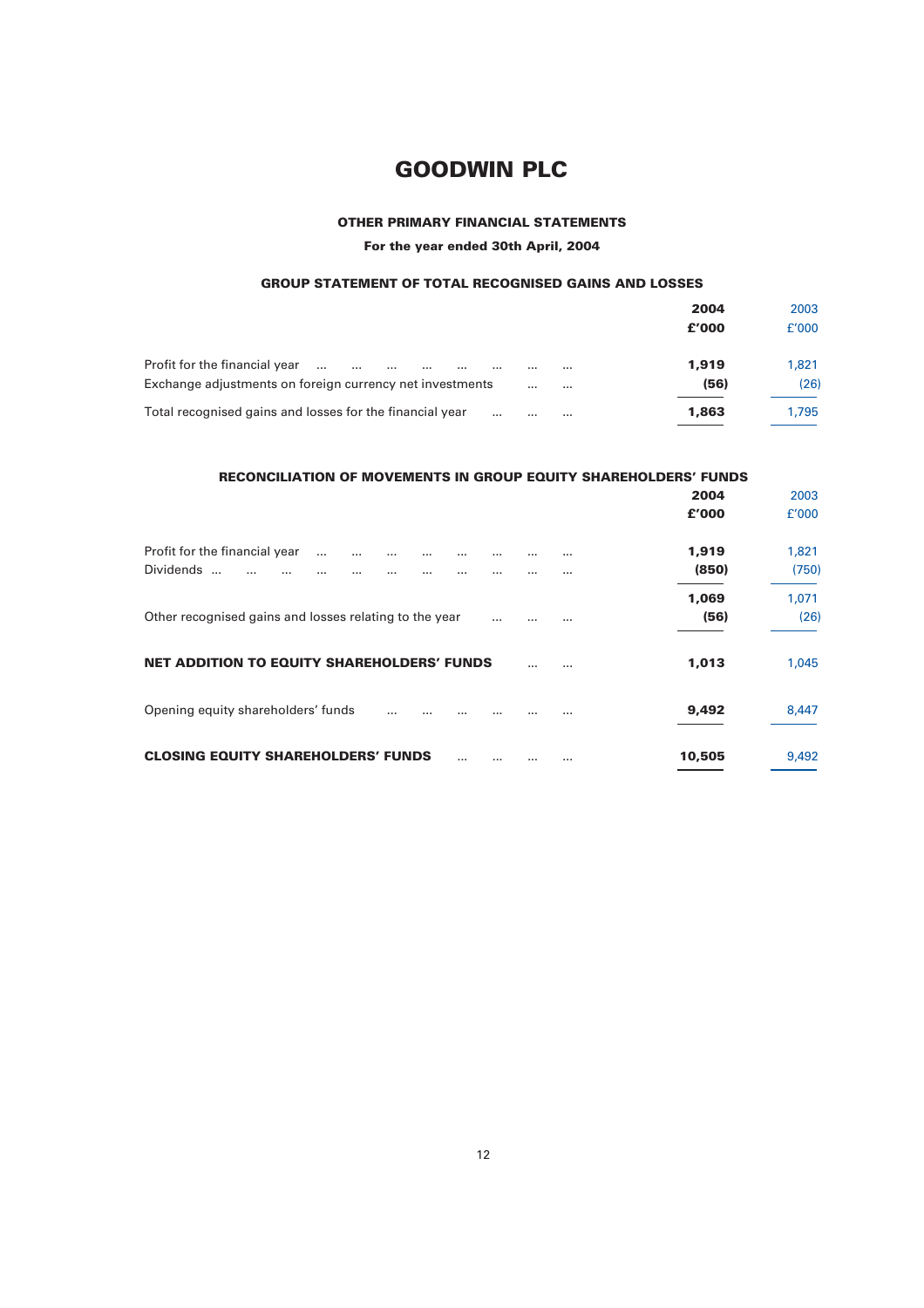## **OTHER PRIMARY FINANCIAL STATEMENTS**

## **For the year ended 30th April, 2004**

## **GROUP STATEMENT OF TOTAL RECOGNISED GAINS AND LOSSES**

|                                                                      |          |          | 2004  | 2003  |
|----------------------------------------------------------------------|----------|----------|-------|-------|
|                                                                      |          |          | £'000 | f'000 |
| Profit for the financial year<br>$\cdots$<br>$\cdots$<br>$\cdots$    |          | $\cdots$ | 1,919 | 1,821 |
| Exchange adjustments on foreign currency net investments             | $\cdots$ | $\cdots$ | (56)  | (26)  |
| Total recognised gains and losses for the financial year<br>$\cdots$ |          | $\cdots$ | 1,863 | 1.795 |

| <b>RECONCILIATION OF MOVEMENTS IN GROUP EQUITY SHAREHOLDERS' FUNDS</b> |        |       |
|------------------------------------------------------------------------|--------|-------|
|                                                                        | 2004   | 2003  |
|                                                                        | £'000  | f'000 |
| Profit for the financial year<br>$\cdots$<br><br><br><br><br>          | 1,919  | 1,821 |
| Dividends<br>.                                                         | (850)  | (750) |
|                                                                        | 1,069  | 1,071 |
| Other recognised gains and losses relating to the year                 | (56)   | (26)  |
| <b>NET ADDITION TO EQUITY SHAREHOLDERS' FUNDS</b><br><br>              | 1,013  | 1,045 |
| Opening equity shareholders' funds                                     | 9,492  | 8,447 |
| <b>CLOSING EQUITY SHAREHOLDERS' FUNDS</b><br><br>                      | 10,505 | 9,492 |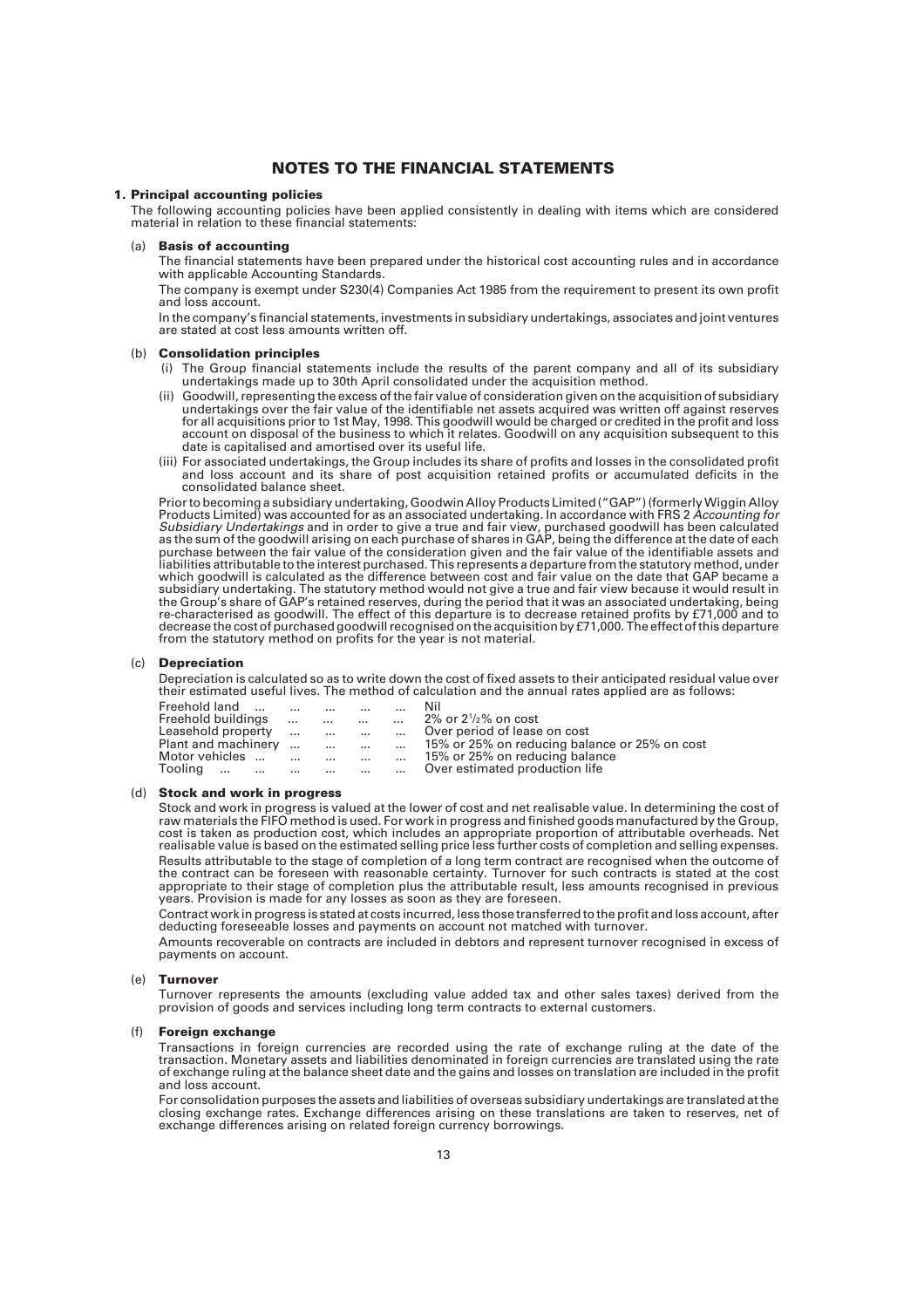## **NOTES TO THE FINANCIAL STATEMENTS**

#### **1. Principal accounting policies**

The following accounting policies have been applied consistently in dealing with items which are considered material in relation to these financial statements:

#### (a) **Basis of accounting**

The financial statements have been prepared under the historical cost accounting rules and in accordance with applicable Accounting Standards.

The company is exempt under S230(4) Companies Act 1985 from the requirement to present its own profit and loss account.

In the company's financial statements, investments in subsidiary undertakings, associates and joint ventures are stated at cost less amounts written off.

#### (b) **Consolidation principles**

(i) The Group financial statements include the results of the parent company and all of its subsidiary undertakings made up to 30th April consolidated under the acquisition method.

- (ii) Goodwill, representing the excess of the fair value of consideration given on the acquisition of subsidiary undertakings over the fair value of the identifiable net assets acquired was written off against reserves for all acquisitions prior to 1st May, 1998. This goodwill would be charged or credited in the profit and loss account on disposal of the business to which it relates. Goodwill on any acquisition subsequent to this date is capitalised and amortised over its useful life.
- (iii) For associated undertakings, the Group includes its share of profits and losses in the consolidated profit and loss account and its share of post acquisition retained profits or accumulated deficits in the consolidated balance sheet.

Prior to becoming a subsidiary undertaking, Goodwin Alloy Products Limited ("GAP") (formerly Wiggin Alloy Products Limited) was accounted for as an associated undertaking. In accordance with FRS 2 Accounting for Subsidiary Undertakings and in order to give a true and fair view, purchased goodwill has been calculated as the sum of the goodwill arising on each purchase of shares in GAP, being the difference at the date of each purchase between the fair value of the consideration given and the fair value of the identifiable assets and liabilities attributable to the interest purchased. This represents a departure from the statutory method, under which goodwill is calculated as the difference between cost and fair value on the date that GAP became a subsidiary undertaking. The statutory method would not give a true and fair view because it would result in the Group's share of GAP's retained reserves, during the period that it was an associated undertaking, being re-characterised as goodwill. The effect of this departure is to decrease retained profits by £71,000 and to decrease the cost of purchased goodwill recognised on the acquisition by £71,000. The effect of this departure from the statutory method on profits for the year is not material.

#### (c) **Depreciation**

Depreciation is calculated so as to write down the cost of fixed assets to their anticipated residual value over their estimated useful lives. The method of calculation and the annual rates applied are as follows:

| Freehold land<br>$\cdots$       | $\cdots$  | $\cdots$ | $\cdots$ |          | Nil                                           |
|---------------------------------|-----------|----------|----------|----------|-----------------------------------------------|
| Freehold buildings              | $\cdots$  | $\cdots$ | $\cdots$ | $\cdots$ | 2% or $2\frac{1}{2}$ % on cost                |
| Leasehold property              | $\ddotsc$ | $\cdots$ | $\cdots$ | $\cdots$ | Over period of lease on cost                  |
| Plant and machinery             | $\cdots$  | $\cdots$ | $\cdots$ | $\cdots$ | 15% or 25% on reducing balance or 25% on cost |
| Motor vehicles                  | $\cdots$  | $\cdots$ | $\cdots$ | $\cdots$ | 15% or 25% on reducing balance                |
| Toolina<br>$\cdots$<br>$\cdots$ | $\cdots$  | $\cdots$ |          | $\cdots$ | Over estimated production life                |
|                                 |           |          |          |          |                                               |

#### (d) **Stock and work in progress**

Stock and work in progress is valued at the lower of cost and net realisable value. In determining the cost of raw materials the FIFO method is used. For work in progress and finished goods manufactured by the Group, cost is taken as production cost, which includes an appropriate proportion of attributable overheads. Net realisable value is based on the estimated selling price less further costs of completion and selling expenses. Results attributable to the stage of completion of a long term contract are recognised when the outcome of the contract can be foreseen with reasonable certainty. Turnover for such contracts is stated at the cost appropriate to their stage of completion plus the attributable result, less amounts recognised in previous years. Provision is made for any losses as soon as they are foreseen.

Contract work in progress is stated at costs incurred, less those transferred to the profit and loss account, after deducting foreseeable losses and payments on account not matched with turnover.

Amounts recoverable on contracts are included in debtors and represent turnover recognised in excess of payments on account.

#### (e) **Turnover**

Turnover represents the amounts (excluding value added tax and other sales taxes) derived from the provision of goods and services including long term contracts to external customers.

#### (f) **Foreign exchange**

Transactions in foreign currencies are recorded using the rate of exchange ruling at the date of the transaction. Monetary assets and liabilities denominated in foreign currencies are translated using the rate of exchange ruling at the balance sheet date and the gains and losses on translation are included in the profit and loss account.

For consolidation purposes the assets and liabilities of overseas subsidiary undertakings are translated at the closing exchange rates. Exchange differences arising on these translations are taken to reserves, net of exchange differences arising on related foreign currency borrowings.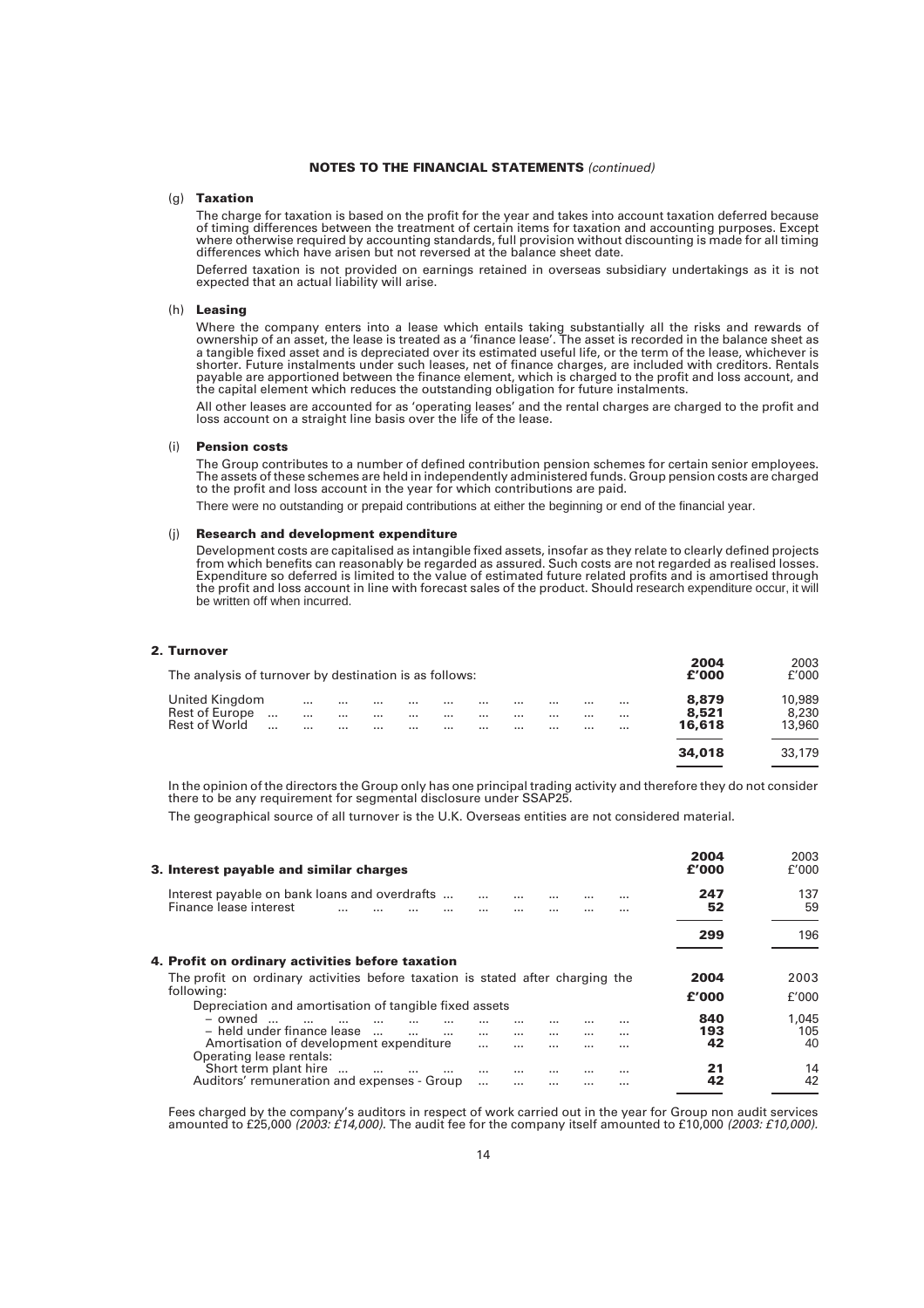## (g) **Taxation**

The charge for taxation is based on the profit for the year and takes into account taxation deferred because of timing differences between the treatment of certain items for taxation and accounting purposes. Except where otherwise required by accounting standards, full provision without discounting is made for all timing differences which have arisen but not reversed at the balance sheet date.

Deferred taxation is not provided on earnings retained in overseas subsidiary undertakings as it is not expected that an actual liability will arise.

#### (h) **Leasing**

Where the company enters into a lease which entails taking substantially all the risks and rewards of ownership of an asset, the lease is treated as a 'finance lease'. The asset is recorded in the balance sheet as a tangible fixed asset and is depreciated over its estimated useful life, or the term of the lease, whichever is shorter. Future instalments under such leases, net of finance charges, are included with creditors. Rentals payable are apportioned between the finance element, which is charged to the profit and loss account, and the capital element which reduces the outstanding obligation for future instalments.

All other leases are accounted for as 'operating leases' and the rental charges are charged to the profit and loss account on a straight line basis over the life of the lease.

### (i) **Pension costs**

The Group contributes to a number of defined contribution pension schemes for certain senior employees. The assets of these schemes are held in independently administered funds. Group pension costs are charged to the profit and loss account in the year for which contributions are paid.

There were no outstanding or prepaid contributions at either the beginning or end of the financial year.

#### (j) **Research and development expenditure**

Development costs are capitalised as intangible fixed assets, insofar as they relate to clearly defined projects from which benefits can reasonably be regarded as assured. Such costs are not regarded as realised losses. Expenditure so deferred is limited to the value of estimated future related profits and is amortised through the profit and loss account in line with forecast sales of the product. Should research expenditure occur, it will be written off when incurred.

#### **2. Turnover**

| 2003<br>f'000 |
|---------------|
| 10,989        |
| 8,230         |
| 13,960        |
| 33,179        |
|               |

In the opinion of the directors the Group only has one principal trading activity and therefore they do not consider there to be any requirement for segmental disclosure under SSAP25.

The geographical source of all turnover is the U.K. Overseas entities are not considered material.

| 3. Interest payable and similar charges                                                                         | 2004<br>£'000 | 2003<br>f'000 |
|-----------------------------------------------------------------------------------------------------------------|---------------|---------------|
| Interest payable on bank loans and overdrafts<br><br>$\cdots$<br><br><br>Finance lease interest<br><br><br><br> | 247<br>52     | 137<br>59     |
|                                                                                                                 | 299           | 196           |
| 4. Profit on ordinary activities before taxation                                                                |               |               |
| The profit on ordinary activities before taxation is stated after charging the                                  | 2004          | 2003          |
| following:<br>Depreciation and amortisation of tangible fixed assets                                            | £'000         | f'000         |
| – owned<br>$\overline{\phantom{a}}$<br>$\cdots$<br>$\cdots$<br><br>$\cdots$                                     | 840           | 1,045         |
| $-$ held under finance lease $\ldots$<br>$\cdots$<br>$\cdots$<br>$\cdots$<br><br>                               | 193           | 105           |
| Amortisation of development expenditure<br><br><br>$\cdots$<br>                                                 | 42            | 40            |
| Operating lease rentals:                                                                                        |               |               |
| Short term plant hire<br>$\cdots$<br>$\cdots$<br>$\cdots$<br><br><br><br>                                       | 21            | 14            |
| Auditors' remuneration and expenses - Group<br>$\cdots$<br>$\cdots$<br><br><br>                                 | 42            | 42            |

Fees charged by the company's auditors in respect of work carried out in the year for Group non audit services amounted to £25,000 (2003: £14,000). The audit fee for the company itself amounted to £10,000 (2003: £10,000).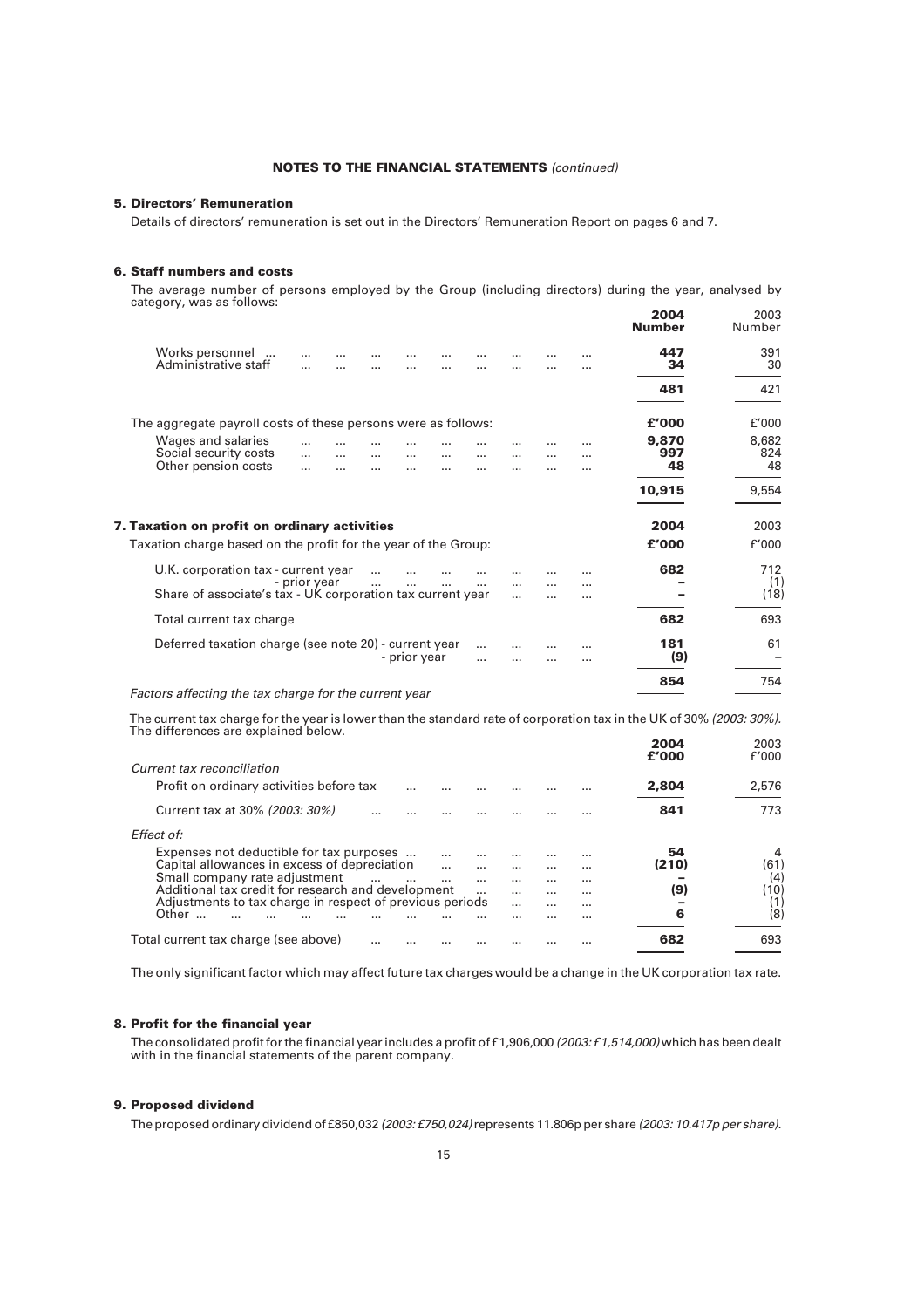## **5. Directors' Remuneration**

Details of directors' remuneration is set out in the Directors' Remuneration Report on pages 6 and 7.

### **6. Staff numbers and costs**

The average number of persons employed by the Group (including directors) during the year, analysed by category, was as follows: **2004** 2003

|                                                                                                                                                              |               |                      |                      |                       |                       |              |          |           |                                  | <b>Number</b> | Number                         |
|--------------------------------------------------------------------------------------------------------------------------------------------------------------|---------------|----------------------|----------------------|-----------------------|-----------------------|--------------|----------|-----------|----------------------------------|---------------|--------------------------------|
| Works personnel<br>Administrative staff                                                                                                                      | $\cdots$      | $\cdots$<br>$\cdots$ | <br>$\cdots$         | <br>$\cdots$          | $\cdots$<br>$\cdots$  |              |          |           | $\cdots$                         | 447<br>34     | 391<br>30                      |
|                                                                                                                                                              |               |                      |                      |                       |                       |              |          |           |                                  | 481           | 421                            |
| The aggregate payroll costs of these persons were as follows:                                                                                                |               |                      |                      |                       |                       |              |          |           |                                  | £'000         | f'000                          |
| Wages and salaries                                                                                                                                           | .             | $\ddotsc$            |                      | .                     | $\cdots$              | $\cdots$     | $\cdots$ |           | $\ddotsc$                        | 9,870         | 8,682                          |
| Social security costs<br>Other pension costs                                                                                                                 | $\ddotsc$<br> | $\cdots$<br>         | $\cdots$<br>$\cdots$ | $\ddotsc$<br>$\cdots$ | $\cdots$              | $\cdots$<br> | $\cdots$ |           | $\cdots$<br>$\ddotsc$            | 997<br>48     | 824<br>48                      |
|                                                                                                                                                              |               |                      |                      |                       |                       |              |          |           |                                  | 10,915        | 9,554                          |
| 7. Taxation on profit on ordinary activities                                                                                                                 |               |                      |                      |                       |                       |              |          |           |                                  | 2004          | 2003                           |
| Taxation charge based on the profit for the year of the Group:                                                                                               |               |                      |                      |                       |                       |              |          |           |                                  | £'000         | f'000                          |
| U.K. corporation tax - current year                                                                                                                          |               |                      |                      |                       |                       |              |          |           |                                  | 682           | 712                            |
| Share of associate's tax - UK corporation tax current year                                                                                                   | - prior year  |                      | $\cdots$             | $\cdots$              | $\cdots$              |              | <br>     | <br>      | $\ddot{\phantom{a}}$<br>$\cdots$ |               | (1)<br>(18)                    |
| Total current tax charge                                                                                                                                     |               |                      |                      |                       |                       |              |          |           |                                  | 682           | 693                            |
| Deferred taxation charge (see note 20) - current year                                                                                                        |               |                      |                      | - prior year          |                       | $\ddotsc$    |          |           |                                  | 181<br>(9)    | 61<br>$\overline{\phantom{0}}$ |
|                                                                                                                                                              |               |                      |                      |                       |                       |              |          |           |                                  | 854           | 754                            |
| Factors affecting the tax charge for the current year                                                                                                        |               |                      |                      |                       |                       |              |          |           |                                  |               |                                |
| The current tax charge for the year is lower than the standard rate of corporation tax in the UK of 30% (2003: 30%).<br>The differences are explained below. |               |                      |                      |                       |                       |              |          |           |                                  |               |                                |
| Current tax reconciliation                                                                                                                                   |               |                      |                      |                       |                       |              |          |           |                                  | 2004<br>£'000 | 2003<br>f'000                  |
| Profit on ordinary activities before tax                                                                                                                     |               |                      |                      |                       |                       |              |          |           |                                  | 2,804         | 2,576                          |
| Current tax at 30% (2003: 30%)                                                                                                                               |               |                      |                      |                       |                       |              | $\cdots$ |           | $\cdots$                         | 841           | 773                            |
| Effect of:                                                                                                                                                   |               |                      |                      |                       |                       |              |          |           |                                  |               |                                |
| Expenses not deductible for tax purposes                                                                                                                     |               |                      |                      |                       |                       |              |          |           | $\cdots$                         | 54            | 4                              |
| Capital allowances in excess of depreciation<br>Small company rate adjustment                                                                                |               |                      | <b>Section</b>       | $\cdots$              | $\ddotsc$<br>$\cdots$ | $\cdots$<br> |          | .<br>     | $\cdots$<br>$\ddotsc$            | (210)         | (61)<br>(4)                    |
| Additional tax credit for research and development                                                                                                           |               |                      |                      |                       |                       |              |          |           | $\ddotsc$                        | (9)           | (10)                           |
| Adjustments to tax charge in respect of previous periods                                                                                                     |               |                      |                      |                       |                       |              | $\cdots$ | $\ddotsc$ | $\ddotsc$                        |               | (1)                            |
| Other<br>$\cdots$<br>$\ddotsc$                                                                                                                               | $\ddotsc$     | $\ddotsc$            | $\sim$               |                       |                       |              |          |           | $\ddotsc$                        | 6             | (8)                            |
| Total current tax charge (see above)                                                                                                                         |               |                      |                      | $\cdots$              | $\cdots$              | $\cdots$     |          | $\cdots$  |                                  | 682           | 693                            |

The only significant factor which may affect future tax charges would be a change in the UK corporation tax rate.

### **8. Profit for the financial year**

The consolidated profit for the financial year includes a profit of £1,906,000 (2003: £1,514,000) which has been dealt with in the financial statements of the parent company.

## **9. Proposed dividend**

The proposed ordinary dividend of £850,032 (2003: £750,024) represents 11.806p per share (2003: 10.417p per share).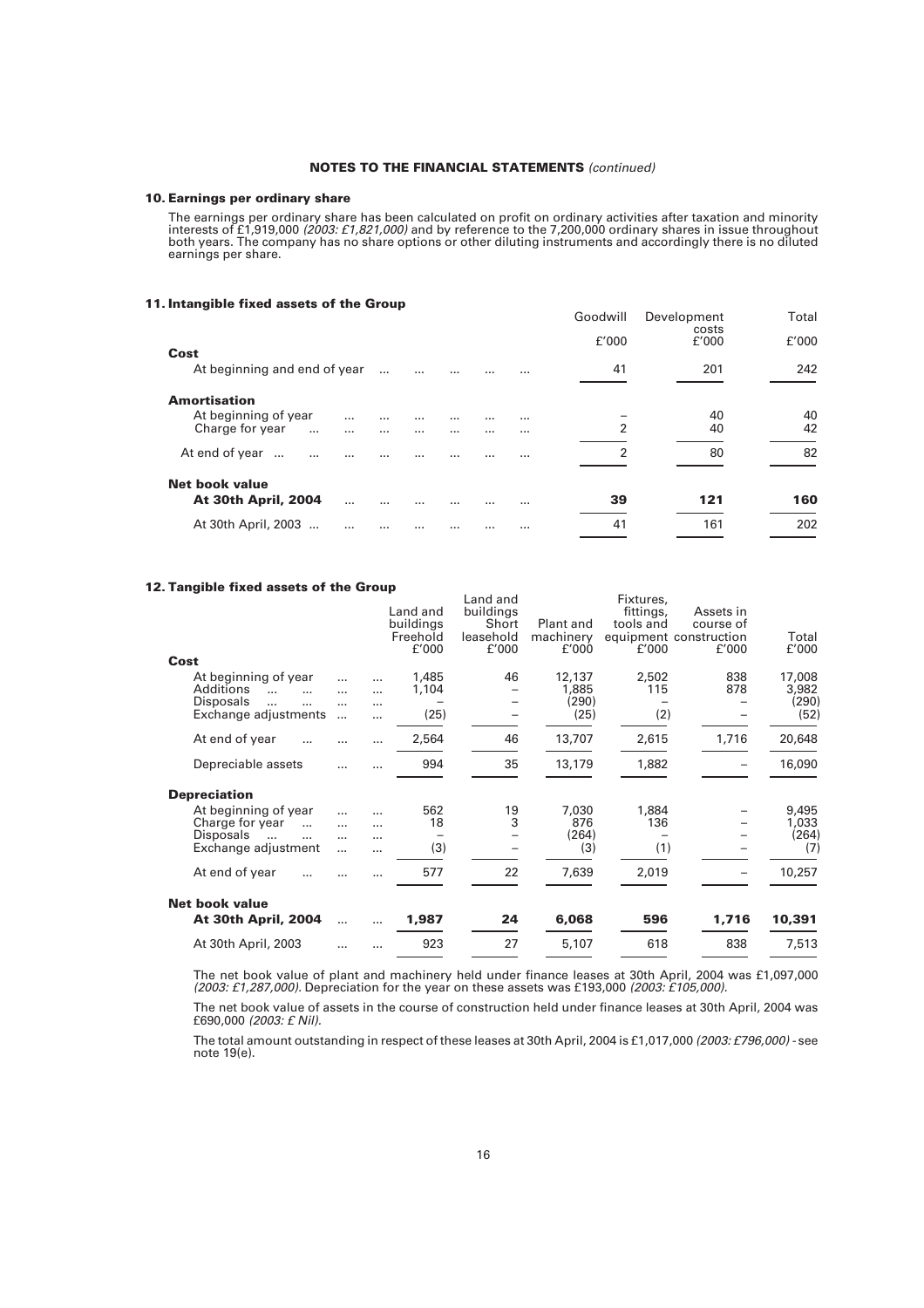## **10. Earnings per ordinary share**

The earnings per ordinary share has been calculated on profit on ordinary activities after taxation and minority interests of £1,919,000 (2003: £1,821,000) and by reference to the 7,200,000 ordinary shares in issue throughout both years. The company has no share options or other diluting instruments and accordingly there is no diluted earnings per share.

Goodwill Development Total

## **11. Intangible fixed assets of the Group**

| Cost                                                |                       |                      |                      |          |              | ------<br>f'000 | $-$<br>costs<br>f'000 | .<br>f'000 |
|-----------------------------------------------------|-----------------------|----------------------|----------------------|----------|--------------|-----------------|-----------------------|------------|
| At beginning and end of year                        |                       | $\dddotsc$           | $\cdots$             | $\cdots$ | <br>$\cdots$ | 41              | 201                   | 242        |
| <b>Amortisation</b>                                 |                       |                      |                      |          |              |                 |                       |            |
| At beginning of year<br>Charge for year<br>$\cdots$ | $\cdots$<br>$\ddotsc$ | $\cdots$<br>$\cdots$ | $\cdots$<br>$\cdots$ | <br>     | <br><br><br> | 2               | 40<br>40              | 40<br>42   |
| At end of year<br>$\ddotsc$<br>$\cdots$             | $\cdots$              | $\cdots$             |                      |          | <br>         | 2               | 80                    | 82         |
| <b>Net book value</b>                               |                       |                      |                      |          |              |                 |                       |            |
| <b>At 30th April, 2004</b>                          |                       |                      |                      |          | <br>$\cdots$ | 39              | 121                   | 160        |
| At 30th April, 2003                                 | $\cdots$              |                      |                      |          | <br>$\cdots$ | 41              | 161                   | 202        |
|                                                     |                       |                      |                      |          |              |                 |                       |            |

## **12. Tangible fixed assets of the Group**

|                                                                                                                                                |                                      |                                      | Land and<br>buildings<br>Freehold<br>f'000 | Land and<br>buildings<br>Short<br>leasehold<br>f'000 | Plant and<br>machinery<br>f'000 | Fixtures,<br>fittings,<br>tools and<br>f'000 | Assets in<br>course of<br>equipment construction<br>£'000 | Total<br>f'000                 |
|------------------------------------------------------------------------------------------------------------------------------------------------|--------------------------------------|--------------------------------------|--------------------------------------------|------------------------------------------------------|---------------------------------|----------------------------------------------|-----------------------------------------------------------|--------------------------------|
| Cost                                                                                                                                           |                                      |                                      |                                            |                                                      |                                 |                                              |                                                           |                                |
| At beginning of year<br>Additions<br>$\ddot{\phantom{a}}$<br>$\cdots$                                                                          | $\cdots$<br>                         | <br>                                 | 1,485<br>1,104                             | 46                                                   | 12,137<br>1,885                 | 2,502<br>115                                 | 838<br>878                                                | 17,008<br>3,982                |
| <b>Disposals</b><br>$\cdots$<br>$\cdots$<br>Exchange adjustments                                                                               | $\cdots$<br>$\cdots$                 | $\cdots$<br>$\cdots$                 | (25)                                       |                                                      | (290)<br>(25)                   | (2)                                          |                                                           | (290)<br>(52)                  |
| At end of year<br>$\cdots$                                                                                                                     |                                      | $\cdots$                             | 2,564                                      | 46                                                   | 13,707                          | 2,615                                        | 1,716                                                     | 20,648                         |
| Depreciable assets                                                                                                                             | $\cdots$                             | $\cdots$                             | 994                                        | 35                                                   | 13,179                          | 1,882                                        |                                                           | 16,090                         |
| <b>Depreciation</b>                                                                                                                            |                                      |                                      |                                            |                                                      |                                 |                                              |                                                           |                                |
| At beginning of year<br>Charge for year<br>$\ddot{\phantom{a}}$<br><b>Disposals</b><br>$\ddot{\phantom{a}}$<br>$\cdots$<br>Exchange adjustment | $\cdots$<br>$\cdots$<br><br>$\cdots$ | <br>$\cdots$<br>$\cdots$<br>$\cdots$ | 562<br>18<br>(3)                           | 19<br>3                                              | 7,030<br>876<br>(264)<br>(3)    | 1,884<br>136<br>(1)                          |                                                           | 9,495<br>1,033<br>(264)<br>(7) |
| At end of year<br>$\cdots$                                                                                                                     |                                      |                                      | 577                                        | 22                                                   | 7,639                           | 2,019                                        |                                                           | 10,257                         |
| <b>Net book value</b>                                                                                                                          |                                      |                                      |                                            |                                                      |                                 |                                              |                                                           |                                |
| <b>At 30th April, 2004</b>                                                                                                                     | $\cdots$                             | $\cdots$                             | 1,987                                      | 24                                                   | 6,068                           | 596                                          | 1,716                                                     | 10,391                         |
| At 30th April, 2003                                                                                                                            |                                      | $\cdots$                             | 923                                        | 27                                                   | 5,107                           | 618                                          | 838                                                       | 7,513                          |
|                                                                                                                                                |                                      |                                      |                                            |                                                      |                                 |                                              |                                                           |                                |

The net book value of plant and machinery held under finance leases at 30th April, 2004 was £1,097,000 (2003: £1,287,000). Depreciation for the year on these assets was £193,000 (2003: £105,000).

The net book value of assets in the course of construction held under finance leases at 30th April, 2004 was £690,000 (2003: £ Nil).

The total amount outstanding in respect of these leases at 30th April, 2004 is £1,017,000 (2003: £796,000) - see note 19(e).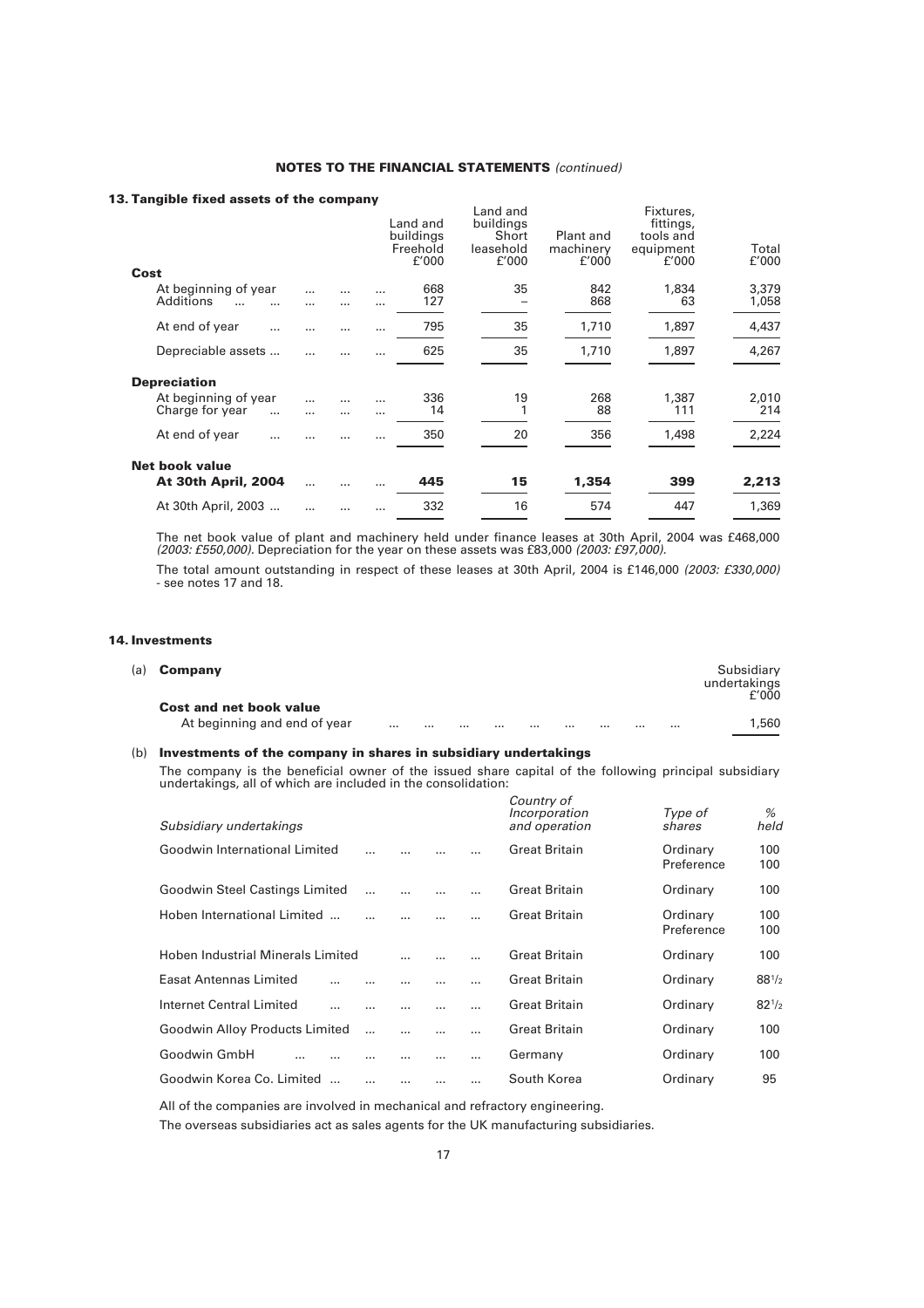## **13. Tangible fixed assets of the company**

| Cost |                             |          |          |          | Land and<br>buildings<br>Freehold<br>f'000 | Land and<br>buildings<br>Short<br>leasehold<br>f'000 | Plant and<br>machinery<br>£'000 | Fixtures,<br>fittings,<br>tools and<br>equipment<br>f'000 | Total<br>f'000 |
|------|-----------------------------|----------|----------|----------|--------------------------------------------|------------------------------------------------------|---------------------------------|-----------------------------------------------------------|----------------|
|      | At beginning of year        | $\cdots$ |          |          | 668                                        | 35                                                   | 842                             | 1,834                                                     | 3,379          |
|      | Additions<br>$\cdots$       | $\cdots$ |          |          | 127                                        |                                                      | 868                             | 63                                                        | 1,058          |
|      | At end of year<br>$\cdots$  |          |          | $\cdots$ | 795                                        | 35                                                   | 1,710                           | 1,897                                                     | 4,437          |
|      | Depreciable assets          | $\cdots$ |          | $\cdots$ | 625                                        | 35                                                   | 1,710                           | 1,897                                                     | 4,267          |
|      | <b>Depreciation</b>         |          |          |          |                                            |                                                      |                                 |                                                           |                |
|      | At beginning of year        | $\cdots$ |          |          | 336                                        | 19                                                   | 268                             | 1,387                                                     | 2,010          |
|      | Charge for year<br>$\cdots$ | $\cdots$ | $\cdots$ | $\cdots$ | 14                                         |                                                      | 88                              | 111                                                       | 214            |
|      | At end of year<br>$\cdots$  | $\cdots$ |          | $\cdots$ | 350                                        | 20                                                   | 356                             | 1,498                                                     | 2,224          |
|      | <b>Net book value</b>       |          |          |          |                                            |                                                      |                                 |                                                           |                |
|      | <b>At 30th April, 2004</b>  | $\cdots$ | .        | $\cdots$ | 445                                        | 15                                                   | 1,354                           | 399                                                       | 2,213          |
|      | At 30th April, 2003         |          |          | $\cdots$ | 332                                        | 16                                                   | 574                             | 447                                                       | 1,369          |

The net book value of plant and machinery held under finance leases at 30th April, 2004 was £468,000 (2003: £550,000). Depreciation for the year on these assets was £83,000 (2003: £97,000).

The total amount outstanding in respect of these leases at 30th April, 2004 is £146,000 *(2003: £330,000)*<br>- see notes 17 and 18.

## **14. Investments**

| (a) <b>Company</b>             |          |              |          |          |              |          |          | Subsidiary<br>undertakings |
|--------------------------------|----------|--------------|----------|----------|--------------|----------|----------|----------------------------|
| <b>Cost and net book value</b> |          |              |          |          |              |          |          | £'000                      |
| At beginning and end of year   | $\cdots$ | <br>$\cdots$ | $\cdots$ | $\cdots$ | <br>$\cdots$ | $\cdots$ | $\cdots$ | 1.560                      |

## (b) **Investments of the company in shares in subsidiary undertakings**

The company is the beneficial owner of the issued share capital of the following principal subsidiary The company is the beneficial owner of the issued share condition:<br>undertakings, all of which are included in the consolidation:

| Subsidiary undertakings                  |          |          |          |          | Country of<br>Incorporation<br>and operation | Type of<br>shares      | %<br>held  |
|------------------------------------------|----------|----------|----------|----------|----------------------------------------------|------------------------|------------|
| Goodwin International Limited            | $\cdots$ |          |          |          | <b>Great Britain</b>                         | Ordinary<br>Preference | 100<br>100 |
| <b>Goodwin Steel Castings Limited</b>    |          |          |          |          | <b>Great Britain</b>                         | Ordinary               | 100        |
| Hoben International Limited              |          |          | .        |          | <b>Great Britain</b>                         | Ordinary<br>Preference | 100<br>100 |
| <b>Hoben Industrial Minerals Limited</b> |          | $\cdots$ | .        |          | <b>Great Britain</b>                         | Ordinary               | 100        |
| <b>Easat Antennas Limited</b><br>.       |          | $\cdots$ | .        |          | <b>Great Britain</b>                         | Ordinary               | $88^{1/2}$ |
| Internet Central Limited<br>             | $\cdots$ | $\cdots$ | .        |          | <b>Great Britain</b>                         | Ordinary               | $82^{1/2}$ |
| <b>Goodwin Alloy Products Limited</b>    |          | $\cdots$ | $\cdots$ | $\cdots$ | <b>Great Britain</b>                         | Ordinary               | 100        |
| Goodwin GmbH<br><br>$\cdots$             | $\cdots$ | $\cdots$ |          |          | Germany                                      | Ordinary               | 100        |
| Goodwin Korea Co. Limited                | $\cdots$ | $\cdots$ |          | $\cdots$ | South Korea                                  | Ordinary               | 95         |

All of the companies are involved in mechanical and refractory engineering.

The overseas subsidiaries act as sales agents for the UK manufacturing subsidiaries.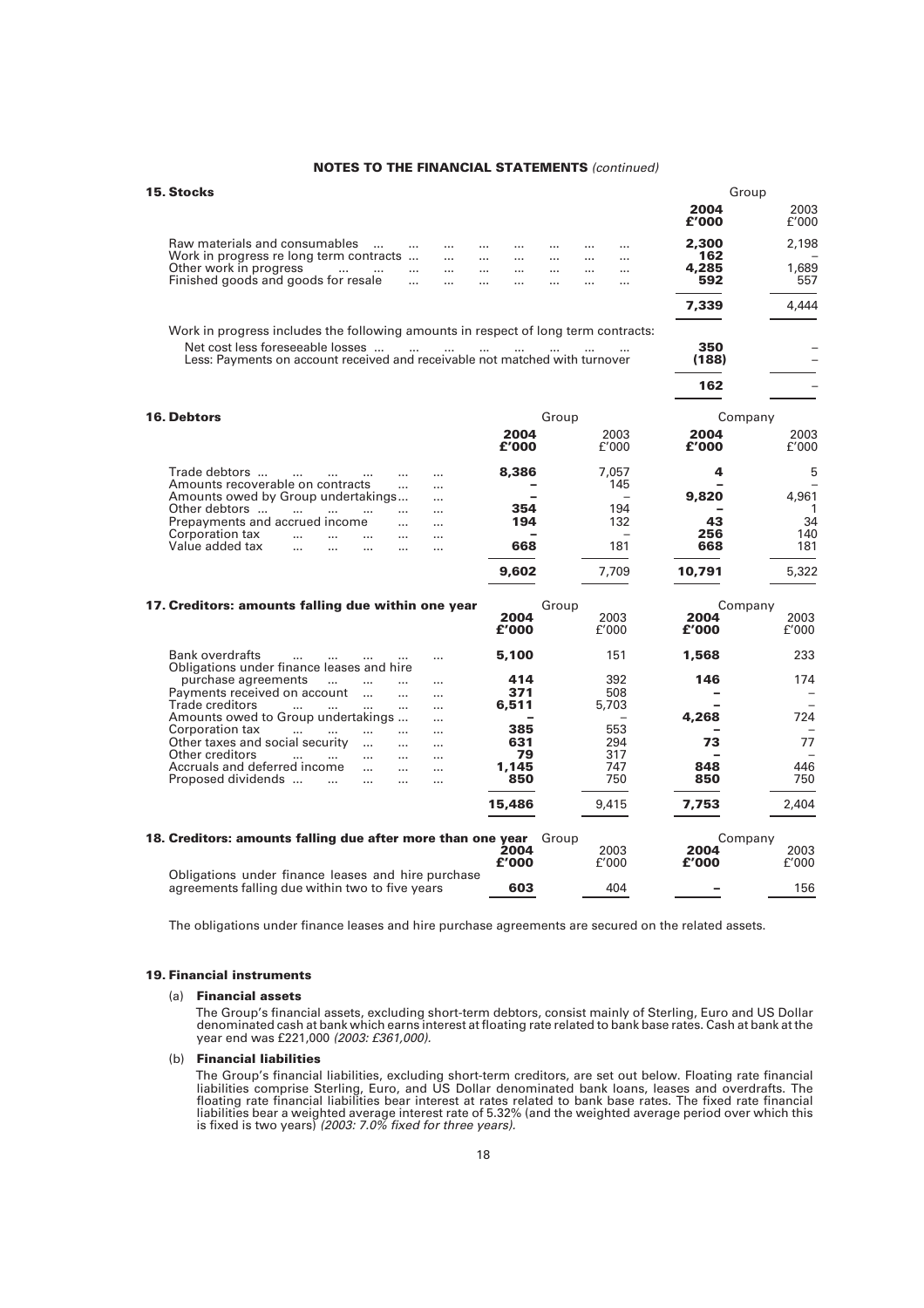| <b>15. Stocks</b>                                                                                                                       |               |                                      |               | Group                    |
|-----------------------------------------------------------------------------------------------------------------------------------------|---------------|--------------------------------------|---------------|--------------------------|
|                                                                                                                                         |               |                                      | 2004<br>£'000 | 2003<br>f'000            |
| Raw materials and consumables<br>$\cdots$<br>$\ddotsc$<br>$\cdots$<br>$\ddotsc$                                                         | $\ddotsc$     | $\ddotsc$<br>$\cdots$<br>$\cdots$    | 2,300<br>162  | 2,198                    |
| Work in progress re long term contracts<br>$\cdots$<br>$\cdots$<br>Other work in progress<br>$\cdots$<br>$\cdots$<br>$\cdots$           | $\cdots$<br>  | $\cdots$<br><br><br>$\cdots$<br><br> | 4,285         | 1,689                    |
| Finished goods and goods for resale<br>$\cdots$<br>$\cdots$<br>$\cdots$                                                                 | $\cdots$      | $\cdots$<br>$\cdots$<br>$\cdots$     | 592           | 557                      |
|                                                                                                                                         |               |                                      | 7,339         | 4,444                    |
| Work in progress includes the following amounts in respect of long term contracts:                                                      |               |                                      |               |                          |
| Net cost less foreseeable losses<br>$\cdots$<br>$\cdots$<br>Less: Payments on account received and receivable not matched with turnover | $\cdots$      |                                      | 350<br>(188)  |                          |
|                                                                                                                                         |               |                                      | 162           |                          |
| 16. Debtors                                                                                                                             |               | Group                                |               | Company                  |
|                                                                                                                                         | 2004<br>£'000 | 2003<br>f'000                        | 2004<br>£'000 | 2003<br>f'000            |
| Trade debtors<br>$\ddotsc$<br>$\cdots$                                                                                                  | 8,386         | 7,057                                | 4             | 5                        |
| Amounts recoverable on contracts<br>$\ddot{\phantom{a}}$<br>$\ddotsc$<br>Amounts owed by Group undertakings<br>$\cdots$                 |               | 145<br>$\overline{\phantom{0}}$      | 9,820         | 4,961                    |
| Other debtors<br>$\cdots$<br>$\cdots$<br>$\cdots$                                                                                       | 354           | 194                                  |               | 1                        |
| Prepayments and accrued income<br>$\cdots$<br>Corporation tax                                                                           | 194           | 132<br>$\overline{\phantom{0}}$      | 43<br>256     | 34<br>140                |
| $\cdots$<br>$\ddotsc$<br>$\ddotsc$<br>$\cdots$<br>Value added tax<br>$\ddotsc$<br>$\ddotsc$<br>$\cdots$                                 | 668           | 181                                  | 668           | 181                      |
|                                                                                                                                         | 9,602         | 7,709                                | 10,791        | 5,322                    |
| 17. Creditors: amounts falling due within one year                                                                                      |               | Group                                |               | Company                  |
|                                                                                                                                         | 2004<br>£'000 | 2003<br>f'000                        | 2004<br>£'000 | 2003<br>f'000            |
| Bank overdrafts<br>$\cdots$<br>$\cdots$<br>Obligations under finance leases and hire                                                    | 5,100         | 151                                  | 1,568         | 233                      |
| purchase agreements<br>$\ddotsc$<br>$\cdots$<br>$\cdots$<br>$\cdots$                                                                    | 414           | 392                                  | 146           | 174                      |
| Payments received on account<br>$\cdots$<br>$\cdots$<br>                                                                                | 371           | 508                                  |               | $\overline{\phantom{a}}$ |
| <b>Trade creditors</b><br>$\cdots$<br>Amounts owed to Group undertakings<br>$\cdots$                                                    | 6,511         | 5,703                                | 4,268         | 724                      |
| Corporation tax<br>$\cdots$                                                                                                             | 385           | 553                                  |               |                          |
| Other taxes and social security<br>$\cdots$<br>$\cdots$<br>$\ddotsc$                                                                    | 631           | 294                                  | 73            | 77                       |
| Other creditors<br>$\cdots$<br>$\cdots$<br>$\cdots$<br>$\ddotsc$<br>$\ddotsc$<br>Accruals and deferred income<br>$\cdots$<br>$\cdots$   | 79<br>1,145   | 317<br>747                           | 848           | 446                      |
| <br>Proposed dividends<br>$\cdots$<br>$\cdots$<br>$\cdots$<br>$\cdots$                                                                  | 850           | 750                                  | 850           | 750                      |
|                                                                                                                                         | 15,486        | 9,415                                | 7,753         | 2,404                    |
| 18. Creditors: amounts falling due after more than one year                                                                             |               | Group                                |               | Company                  |
|                                                                                                                                         | 2004          | 2003                                 | 2004          | 2003                     |
| Obligations under finance leases and hire purchase                                                                                      | £'000         | f'000                                | £'000         | f'000                    |
| agreements falling due within two to five years                                                                                         | 603           | 404                                  |               | 156                      |

The obligations under finance leases and hire purchase agreements are secured on the related assets.

## **19. Financial instruments**

## (a) **Financial assets**

The Group's financial assets, excluding short-term debtors, consist mainly of Sterling, Euro and US Dollar denominated cash at bank which earns interest at floating rate related to bank base rates. Cash at bank at the year end was £221,000 (2003: £361,000).

#### (b) **Financial liabilities**

The Group's financial liabilities, excluding short-term creditors, are set out below. Floating rate financial liabilities comprise Sterling, Euro, and US Dollar denominated bank loans, leases and overdrafts. The floating rate financial liabilities bear interest at rates related to bank base rates. The fixed rate financial liabilities bear a weighted average interest rate of 5.32% (and the weighted average period over which this is fixed is two years) (2003: 7.0% fixed for three years).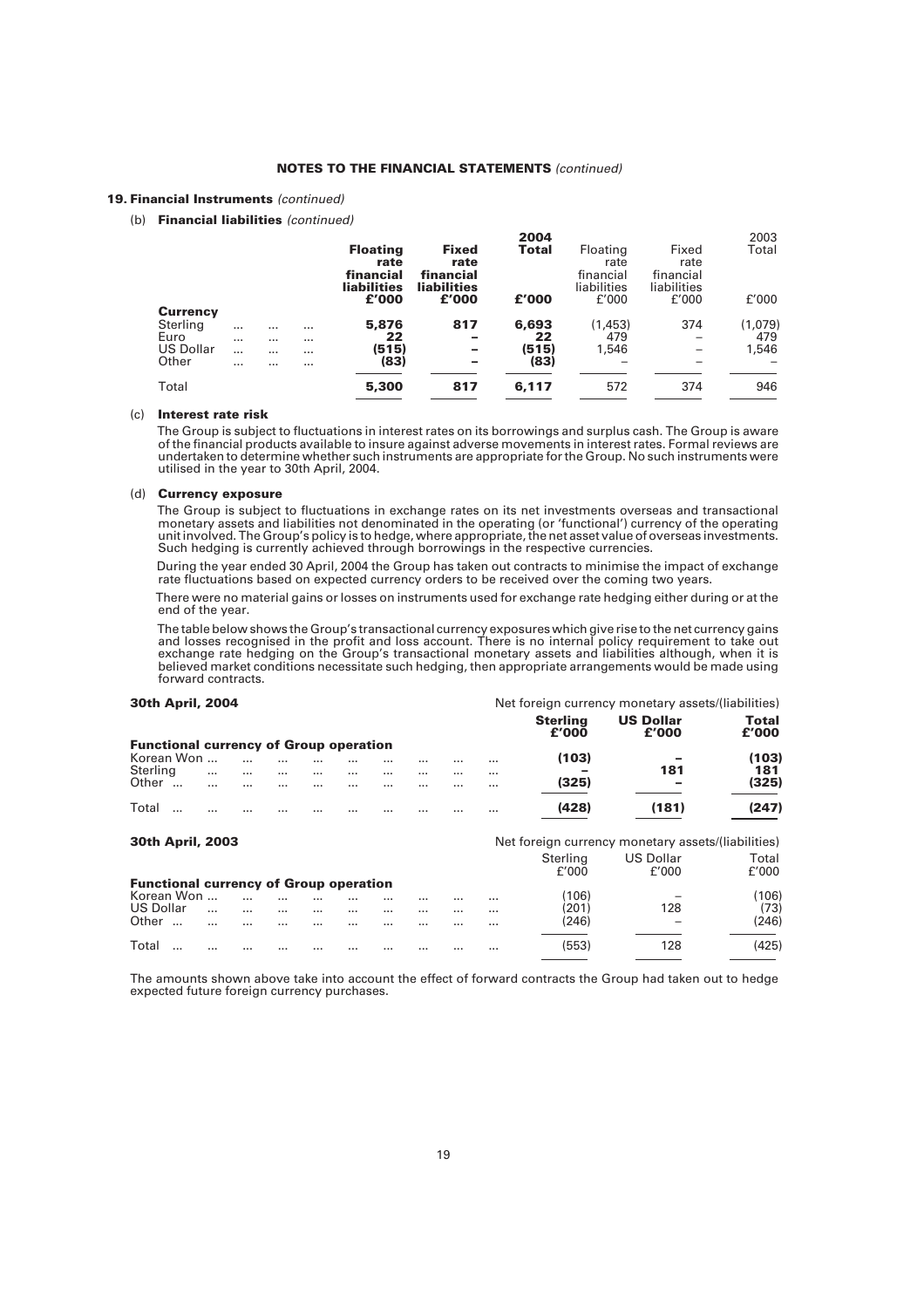#### **19. Financial Instruments** (continued)

#### (b) **Financial liabilities** (continued)

|                             |          |          |          | <b>Floating</b><br>rate<br>financial<br><b>liabilities</b> | <b>Fixed</b><br>rate<br>financial<br><b>liabilities</b> | 2004<br>Total | Floating<br>rate<br>financial<br>liabilities | Fixed<br>rate<br>financial<br>liabilities | 2003<br>Total |
|-----------------------------|----------|----------|----------|------------------------------------------------------------|---------------------------------------------------------|---------------|----------------------------------------------|-------------------------------------------|---------------|
|                             |          |          |          | £'000                                                      | £'000                                                   | £'000         | £'000                                        | f'000                                     | f'000         |
| <b>Currency</b><br>Sterling | $\cdots$ | $\cdots$ | $\cdots$ | 5,876                                                      | 817                                                     | 6,693         | (1, 453)                                     | 374                                       | (1,079)       |
| Euro                        | $\cdots$ | $\cdots$ | $\cdots$ | 22                                                         | -                                                       | 22            | 479                                          | -                                         | 479           |
| <b>US Dollar</b>            | $\cdots$ | $\cdots$ | $\cdots$ | (515)                                                      | -                                                       | (515)         | 1,546                                        |                                           | 1,546         |
| Other                       | $\cdots$ | $\cdots$ | $\cdots$ | (83)                                                       | -                                                       | (83)          |                                              |                                           |               |
| Total                       |          |          |          | 5,300                                                      | 817                                                     | 6,117         | 572                                          | 374                                       | 946           |

## (c) **Interest rate risk**

The Group is subject to fluctuations in interest rates on its borrowings and surplus cash. The Group is aware of the financial products available to insure against adverse movements in interest rates. Formal reviews are undertaken to determine whether such instruments are appropriate for the Group. No such instruments were utilised in the year to 30th April, 2004.

## (d) **Currency exposure**

The Group is subject to fluctuations in exchange rates on its net investments overseas and transactional monetary assets and liabilities not denominated in the operating (or 'functional') currency of the operating unit involved. The Group's policy is to hedge, where appropriate, the net asset value of overseas investments. Such hedging is currently achieved through borrowings in the respective currencies.

 During the year ended 30 April, 2004 the Group has taken out contracts to minimise the impact of exchange rate fluctuations based on expected currency orders to be received over the coming two years.

 There were no material gains or losses on instruments used for exchange rate hedging either during or at the end of the year.

The table below shows the Group's transactional currency exposures which give rise to the net currency gains and losses recognised in the profit and loss account. There is no internal policy requirement to take out exchange rate hedging on the Group's transactional monetary assets and liabilities although, when it is believed market conditions necessitate such hedging, then appropriate arrangements would be made using forward contracts.

| <b>30th April, 2004</b>                       |          |          |          |   |          |          | Net foreign currency monetary assets/(liabilities) |          |          |                          |                           |                |
|-----------------------------------------------|----------|----------|----------|---|----------|----------|----------------------------------------------------|----------|----------|--------------------------|---------------------------|----------------|
|                                               |          |          |          |   |          |          |                                                    |          |          | <b>Sterling</b><br>£'000 | <b>US Dollar</b><br>£'000 | Total<br>£'000 |
| <b>Functional currency of Group operation</b> |          |          |          |   |          |          |                                                    |          |          |                          |                           |                |
| Korean Won                                    |          |          |          | . |          | $\cdots$ | $\cdots$                                           |          |          | (103)                    |                           | (103)          |
| Sterling                                      | $\cdots$ | $\cdots$ | $\cdots$ |   | $\cdots$ | $\cdots$ |                                                    |          |          |                          | 181                       | 181            |
| Other                                         |          |          | $\cdots$ |   | $\cdots$ | $\cdots$ | $\cdots$                                           |          | $\cdots$ | (325)                    |                           | (325)          |
| Total                                         |          | .        |          |   |          | $\cdots$ |                                                    | $\cdots$ |          | (428)                    | (181)                     | (247)          |

| <b>30th April, 2003</b>                       |          |          |          |          |          |          |          | Net foreign currency monetary assets/(liabilities) |          |                   |                    |                |  |
|-----------------------------------------------|----------|----------|----------|----------|----------|----------|----------|----------------------------------------------------|----------|-------------------|--------------------|----------------|--|
|                                               |          |          |          |          |          |          |          |                                                    |          | Sterling<br>f'000 | US Dollar<br>f'000 | Total<br>f'000 |  |
| <b>Functional currency of Group operation</b> |          |          |          |          |          |          |          |                                                    |          |                   |                    |                |  |
| Korean Won                                    |          |          |          |          | $\cdots$ | $\cdots$ | $\cdots$ |                                                    | $\cdots$ | (106)             |                    | (106)          |  |
| US Dollar                                     | $\cdots$ |          | $\cdots$ | $\cdots$ | $\cdots$ | $\cdots$ |          | $\cdots$                                           | $\cdots$ | (201              | 128                | (73)           |  |
| Other                                         | $\cdots$ |          | $\cdots$ | $\cdots$ | $\cdots$ | $\cdots$ | $\cdots$ | $\cdots$                                           | $\cdots$ | (246)             |                    | 246)           |  |
| Total                                         |          | $\cdots$ | $\cdots$ | .        |          | .        |          | $\cdots$                                           | $\cdots$ | (553)             | 128                | (425)          |  |

The amounts shown above take into account the effect of forward contracts the Group had taken out to hedge expected future foreign currency purchases.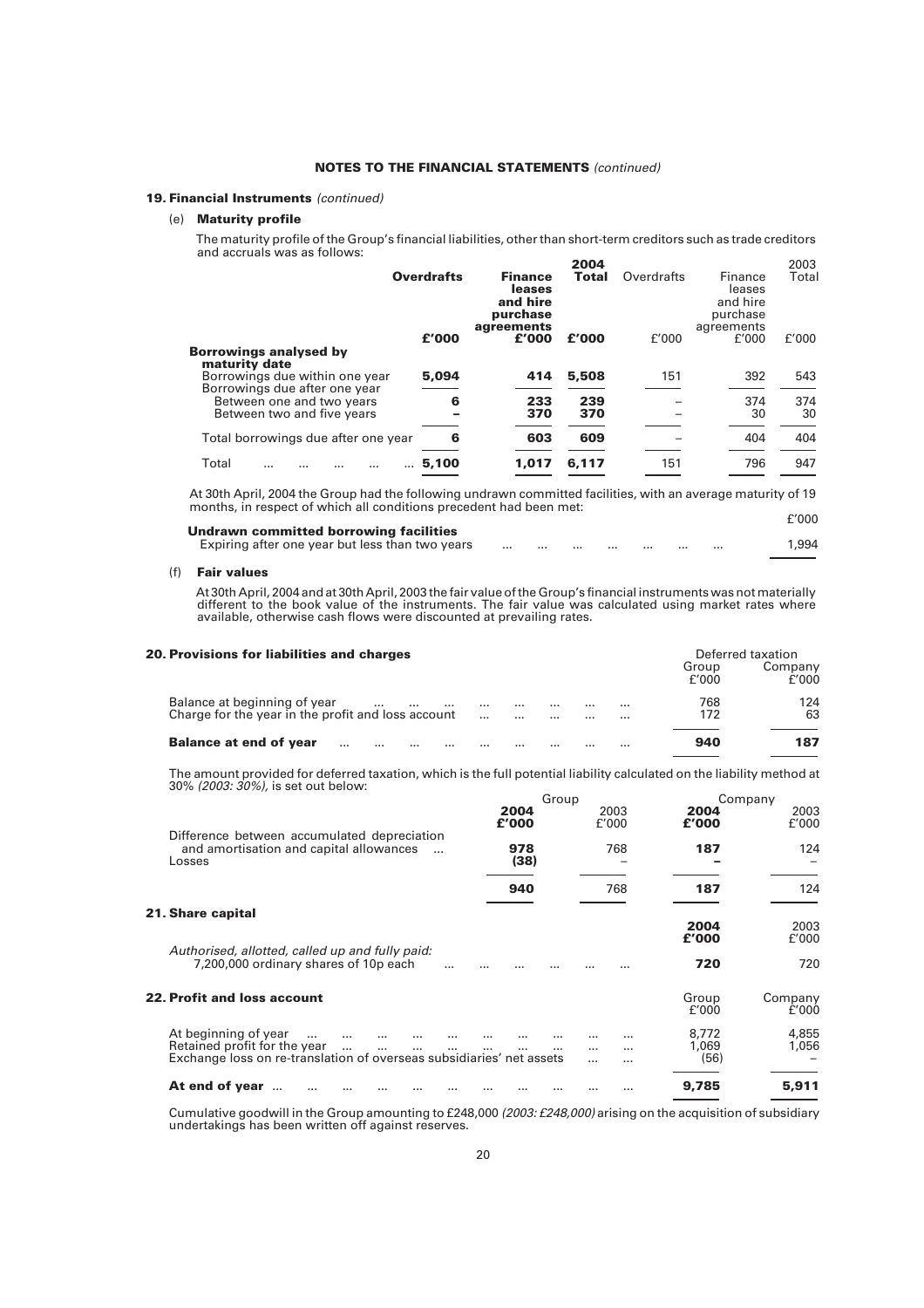## **19. Financial Instruments** (continued)

## (e) **Maturity profile**

The maturity profile of the Group's financial liabilities, other than short-term creditors such as trade creditors and accruals was as follows:

| <b>Overdrafts</b>                        | <b>Finance</b><br>leases<br>and hire<br>purchase | 2004<br>Total            | Overdrafts | Finance<br>leases<br>and hire<br>purchase | 2003<br>Total           |
|------------------------------------------|--------------------------------------------------|--------------------------|------------|-------------------------------------------|-------------------------|
| £'000                                    | £'000                                            | £'000                    | f'000      | f'000                                     | f'000                   |
| 5,094                                    | 414                                              | 5,508                    | 151        | 392                                       | 543                     |
|                                          |                                                  |                          |            |                                           | 374                     |
|                                          |                                                  |                          |            |                                           | 30                      |
| Total borrowings due after one year<br>6 | 603                                              | 609                      |            | 404                                       | 404                     |
| 5,100<br>$\cdots$                        | 1,017                                            | 6,117                    | 151        | 796                                       | 947                     |
|                                          | 6                                                | agreements<br>233<br>370 | 239<br>370 |                                           | agreements<br>374<br>30 |

At 30th April, 2004 the Group had the following undrawn committed facilities, with an average maturity of 19 months, in respect of which all conditions precedent had been met: £'000

| Undrawn committed borrowing facilities          |  |          |              |  |        |
|-------------------------------------------------|--|----------|--------------|--|--------|
| Expiring after one year but less than two years |  | $\cdots$ | <br>$\cdots$ |  | 994. ا |

## (f) **Fair values**

At 30th April, 2004 and at 30th April, 2003 the fair value of the Group's financial instruments was not materially different to the book value of the instruments. The fair value was calculated using market rates where available, otherwise cash flows were discounted at prevailing rates.

| <b>20. Provisions for liabilities and charges</b>                                  | Deferred taxation |          |          |          |          |                |                  |
|------------------------------------------------------------------------------------|-------------------|----------|----------|----------|----------|----------------|------------------|
|                                                                                    |                   |          |          |          |          | Group<br>f'000 | Company<br>f'000 |
| Balance at beginning of year<br>Charge for the year in the profit and loss account | $\cdots$          | $\cdots$ | $\cdots$ | $\cdots$ | $\cdots$ | 768            | 124              |
|                                                                                    | $\cdots$          | $\cdots$ | $\cdots$ | $\cdots$ | $\cdots$ | 172            | 63               |
| <b>Balance at end of year</b><br>$\cdots$<br>$\cdots$<br>$\cdots$                  | $\cdots$          |          |          |          | $\cdots$ | 940            | 187              |
|                                                                                    |                   |          |          |          |          |                |                  |

The amount provided for deferred taxation, which is the full potential liability calculated on the liability method at 30% (2003: 30%), is set out below:

|                                                                                                                                                                                                                      |                      | Group                                                        | Company                |                  |  |
|----------------------------------------------------------------------------------------------------------------------------------------------------------------------------------------------------------------------|----------------------|--------------------------------------------------------------|------------------------|------------------|--|
|                                                                                                                                                                                                                      | 2004<br>£'000        | 2003<br>f'000                                                | 2004<br>£'000          | 2003<br>f'000    |  |
| Difference between accumulated depreciation<br>and amortisation and capital allowances<br>Losses                                                                                                                     | 978<br>(38)          | 768                                                          | 187                    | 124              |  |
|                                                                                                                                                                                                                      | 940                  | 768                                                          | 187                    | 124              |  |
| 21. Share capital                                                                                                                                                                                                    |                      |                                                              | 2004<br>£'000          | 2003             |  |
| Authorised, allotted, called up and fully paid:<br>7,200,000 ordinary shares of 10p each<br>$\cdots$                                                                                                                 |                      | $\cdots$                                                     | 720                    | f'000<br>720     |  |
| 22. Profit and loss account                                                                                                                                                                                          |                      |                                                              | Group<br>f'000         | Company<br>f'000 |  |
| At beginning of year<br>$\cdots$<br>$\cdots$<br>$\cdots$<br><br>Retained profit for the year<br>$\cdots$<br>$\cdots$<br>$\cdots$<br>$\cdots$<br>Exchange loss on re-translation of overseas subsidiaries' net assets | $\cdots$<br>$\cdots$ | <br>$\cdots$<br>$\cdots$<br>$\cdots$<br>$\cdots$<br>$\cdots$ | 8,772<br>1,069<br>(56) | 4,855<br>1.056   |  |
| At end of year<br>$\cdots$<br>$\cdots$<br><br>                                                                                                                                                                       |                      | <br>                                                         | 9.785                  | 5,911            |  |

Cumulative goodwill in the Group amounting to £248,000 (2003: £248,000) arising on the acquisition of subsidiary undertakings has been written off against reserves.